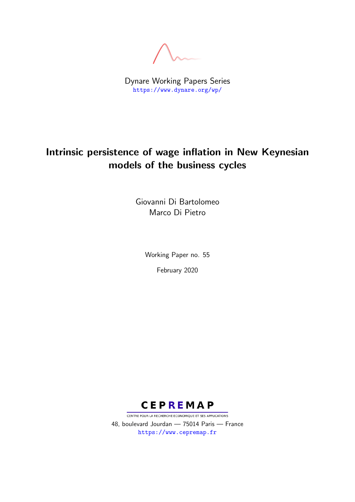Dynare Working Papers Series <https://www.dynare.org/wp/>

## Intrinsic persistence of wage inflation in New Keynesian models of the business cycles

Giovanni Di Bartolomeo Marco Di Pietro

> Working Paper no. 55 February 2020



CENTRE POUR LA RECHERCHE ECONOMIQUE ET SES APPLICATIONS 48, boulevard Jourdan — 75014 Paris — France <https://www.cepremap.fr>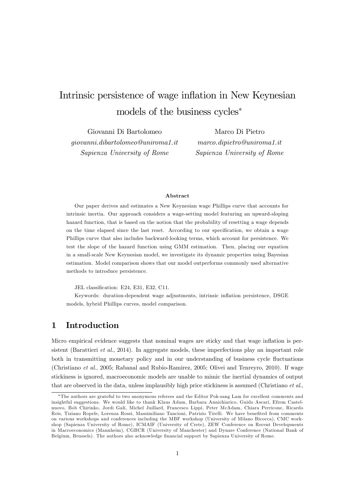# Intrinsic persistence of wage inflation in New Keynesian models of the business cycles

Giovanni Di Bartolomeo giovanni.dibartolomeo@uniroma1.it Sapienza University of Rome

Marco Di Pietro marco.dipietro@uniroma1.it Sapienza University of Rome

#### Abstract

Our paper derives and estimates a New Keynesian wage Phillips curve that accounts for intrinsic inertia. Our approach considers a wage-setting model featuring an upward-sloping hazard function, that is based on the notion that the probability of resetting a wage depends on the time elapsed since the last reset. According to our specification, we obtain a wage Phillips curve that also includes backward-looking terms, which account for persistence. We test the slope of the hazard function using GMM estimation. Then, placing our equation in a small-scale New Keynesian model, we investigate its dynamic properties using Bayesian estimation. Model comparison shows that our model outperforms commonly used alternative methods to introduce persistence.

JEL classification: E24, E31, E32, C11.

Keywords: duration-dependent wage adjustments, intrinsic ináation persistence, DSGE models, hybrid Phillips curves, model comparison.

## 1 Introduction

Micro empirical evidence suggests that nominal wages are sticky and that wage inflation is persistent (Barattieri *et al.*, 2014). In aggregate models, these imperfections play an important role both in transmitting monetary policy and in our understanding of business cycle fluctuations (Christiano et al., 2005; Rabanal and Rubio-Ramirez, 2005; Olivei and Tenreyro, 2010). If wage stickiness is ignored, macroeconomic models are unable to mimic the inertial dynamics of output that are observed in the data, unless implausibly high price stickiness is assumed (Christiano et al.,

The authors are grateful to two anonymous referees and the Editor Pok-sang Lam for excellent comments and insightful suggestions. We would like to thank Klaus Adam, Barbara Annichiarico, Guido Ascari, Efrem Castelnuovo, Bob Chirinko, Jordi Galí, Michel Juillard, Francesco Lippi, Peter McAdam, Chiara Perricone, Ricardo Reis, Tiziano Ropele, Lorenza Rossi, Massimiliano Tancioni, Patrizio Tirelli. We have benefited from comments on various workshops and conferences including the MBF workshop (University of Milano Bicocca), CMC workshop (Sapienza University of Rome), ICMAIF (University of Crete), ZEW Conference on Recent Developments in Macroeconomics (Mannheim), CGBCR (University of Manchester) and Dynare Conference (National Bank of Belgium, Brussels). The authors also acknowledge financial support by Sapienza University of Rome.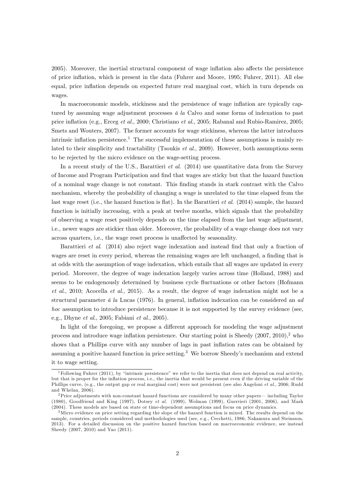2005). Moreover, the inertial structural component of wage inflation also affects the persistence of price ináation, which is present in the data (Fuhrer and Moore, 1995; Fuhrer, 2011). All else equal, price inflation depends on expected future real marginal cost, which in turn depends on wages.

In macroeconomic models, stickiness and the persistence of wage inflation are typically captured by assuming wage adjustment processes  $\acute{a}$  la Calvo and some forms of indexation to past price ináation (e.g., Erceg et al., 2000; Christiano et al., 2005; Rabanal and Rubio-Ramirez, 2005; Smets and Wouters, 2007). The former accounts for wage stickiness, whereas the latter introduces intrinsic inflation persistence.<sup>1</sup> The successful implementation of these assumptions is mainly related to their simplicity and tractability (Tsoukis *et al.*, 2009). However, both assumptions seem to be rejected by the micro evidence on the wage-setting process.

In a recent study of the U.S., Barattieri et al. (2014) use quantitative data from the Survey of Income and Program Participation and Önd that wages are sticky but that the hazard function of a nominal wage change is not constant. This Önding stands in stark contrast with the Calvo mechanism, whereby the probability of changing a wage is unrelated to the time elapsed from the last wage reset (i.e., the hazard function is flat). In the Barattieri *et al.* (2014) sample, the hazard function is initially increasing, with a peak at twelve months, which signals that the probability of observing a wage reset positively depends on the time elapsed from the last wage adjustment, i.e., newer wages are stickier than older. Moreover, the probability of a wage change does not vary across quarters, i.e., the wage reset process is unaffected by seasonality.

Barattieri et al. (2014) also reject wage indexation and instead find that only a fraction of wages are reset in every period, whereas the remaining wages are left unchanged, a finding that is at odds with the assumption of wage indexation, which entails that all wages are updated in every period. Moreover, the degree of wage indexation largely varies across time (Holland, 1988) and seems to be endogenously determined by business cycle fluctuations or other factors (Hofmann et al., 2010; Acocella et al., 2015). As a result, the degree of wage indexation might not be a structural parameter  $\acute{a}$  la Lucas (1976). In general, inflation indexation can be considered an ad hoc assumption to introduce persistence because it is not supported by the survey evidence (see, e.g., Dhyne et al., 2005; Fabiani et al., 2005).

In light of the foregoing, we propose a different approach for modeling the wage adjustment process and introduce wage inflation persistence. Our starting point is Sheedy  $(2007, 2010)$ , who shows that a Phillips curve with any number of lags in past inflation rates can be obtained by assuming a positive hazard function in price setting.<sup>3</sup> We borrow Sheedy's mechanism and extend it to wage setting.

<sup>&</sup>lt;sup>1</sup>Following Fuhrer (2011), by "intrinsic persistence" we refer to the inertia that does not depend on real activity, but that is proper for the ináation process, i.e., the inertia that would be present even if the driving variable of the Phillips curve, (e.g., the output gap or real marginal cost) were not persistent (see also Angeloni *et al.*, 2006; Rudd and Whelan, 2006).

 $2$ Price adjustments with non-constant hazard functions are considered by many other papers— including Taylor (1980), Goodfriend and King (1997), Dotsey et al. (1999), Wolman (1999), Guerrieri (2001, 2006), and Mash (2004). These models are based on state or time-dependent assumptions and focus on price dynamics.

<sup>&</sup>lt;sup>3</sup>Micro evidence on price setting regarding the slope of the hazard function is mixed. The results depend on the sample, countries, periods considered and methodologies used (see, e.g., Cecchetti, 1986; Nakamura and Steinsson, 2013). For a detailed discussion on the positive hazard function based on macroeconomic evidence, see instead Sheedy (2007, 2010) and Yao (2011).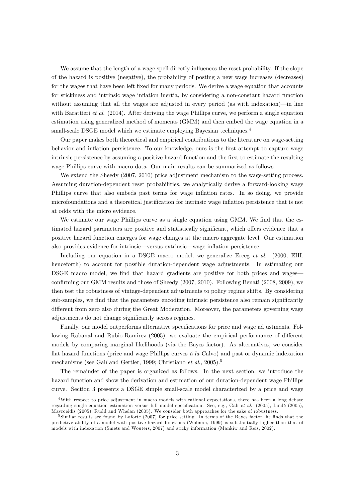We assume that the length of a wage spell directly influences the reset probability. If the slope of the hazard is positive (negative), the probability of posting a new wage increases (decreases) for the wages that have been left fixed for many periods. We derive a wage equation that accounts for stickiness and intrinsic wage inflation inertia, by considering a non-constant hazard function without assuming that all the wages are adjusted in every period (as with indexation)—in line with Barattieri *et al.* (2014). After deriving the wage Phillips curve, we perform a single equation estimation using generalized method of moments (GMM) and then embed the wage equation in a small-scale DSGE model which we estimate employing Bayesian techniques.<sup>4</sup>

Our paper makes both theoretical and empirical contributions to the literature on wage-setting behavior and inflation persistence. To our knowledge, ours is the first attempt to capture wage intrinsic persistence by assuming a positive hazard function and the first to estimate the resulting wage Phillips curve with macro data. Our main results can be summarized as follows.

We extend the Sheedy  $(2007, 2010)$  price adjustment mechanism to the wage-setting process. Assuming duration-dependent reset probabilities, we analytically derive a forward-looking wage Phillips curve that also embeds past terms for wage inflation rates. In so doing, we provide microfoundations and a theoretical justification for intrinsic wage inflation persistence that is not at odds with the micro evidence.

We estimate our wage Phillips curve as a single equation using GMM. We find that the estimated hazard parameters are positive and statistically significant, which offers evidence that a positive hazard function emerges for wage changes at the macro aggregate level. Our estimation also provides evidence for intrinsic—versus extrinsic—wage inflation persistence.

Including our equation in a DSGE macro model, we generalize Erceg et al. (2000, EHL henceforth) to account for possible duration-dependent wage adjustments. In estimating our DSGE macro model, we find that hazard gradients are positive for both prices and wages– confirming our GMM results and those of Sheedy (2007, 2010). Following Benati (2008, 2009), we then test the robustness of vintage-dependent adjustments to policy regime shifts. By considering sub-samples, we find that the parameters encoding intrinsic persistence also remain significantly different from zero also during the Great Moderation. Moreover, the parameters governing wage adjustments do not change significantly across regimes.

Finally, our model outperforms alternative specifications for price and wage adjustments. Following Rabanal and Rubio-Ramirez (2005), we evaluate the empirical performance of different models by comparing marginal likelihoods (via the Bayes factor). As alternatives, we consider flat hazard functions (price and wage Phillips curves  $\acute{a}$  la Calvo) and past or dynamic indexation mechanisms (see Galí and Gertler, 1999; Christiano et al., 2005).<sup>5</sup>

The remainder of the paper is organized as follows. In the next section, we introduce the hazard function and show the derivation and estimation of our duration-dependent wage Phillips curve. Section 3 presents a DSGE simple small-scale model characterized by a price and wage

<sup>&</sup>lt;sup>4</sup>With respect to price adjustment in macro models with rational expectations, there has been a long debate regarding single equation estimation versus full model specification. See, e.g., Galí et al. (2005), Lindé (2005), Mavroeidis (2005), Rudd and Whelan (2005). We consider both approaches for the sake of robustness.

 $5$  Similar results are found by Laforte (2007) for price setting. In terms of the Bayes factor, he finds that the predictive ability of a model with positive hazard functions (Wolman, 1999) is substantially higher than that of models with indexation (Smets and Wouters, 2007) and sticky information (Mankiw and Reis, 2002).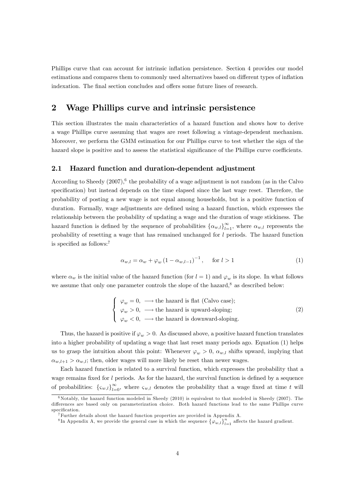Phillips curve that can account for intrinsic inflation persistence. Section 4 provides our model estimations and compares them to commonly used alternatives based on different types of inflation indexation. The final section concludes and offers some future lines of research.

## 2 Wage Phillips curve and intrinsic persistence

This section illustrates the main characteristics of a hazard function and shows how to derive a wage Phillips curve assuming that wages are reset following a vintage-dependent mechanism. Moreover, we perform the GMM estimation for our Phillips curve to test whether the sign of the hazard slope is positive and to assess the statistical significance of the Phillips curve coefficients.

#### 2.1 Hazard function and duration-dependent adjustment

According to Sheedy  $(2007)$ , <sup>6</sup> the probability of a wage adjustment is not random (as in the Calvo specification) but instead depends on the time elapsed since the last wage reset. Therefore, the probability of posting a new wage is not equal among households, but is a positive function of duration. Formally, wage adjustments are defined using a hazard function, which expresses the relationship between the probability of updating a wage and the duration of wage stickiness. The hazard function is defined by the sequence of probabilities  $\{\alpha_{w,l}\}_{l=1}^{\infty}$ , where  $\alpha_{w,l}$  represents the probability of resetting a wage that has remained unchanged for l periods. The hazard function is specified as follows: $7$ 

$$
\alpha_{w,l} = \alpha_w + \varphi_w \left(1 - \alpha_{w,l-1}\right)^{-1}, \quad \text{for } l > 1 \tag{1}
$$

where  $\alpha_w$  is the initial value of the hazard function (for  $l = 1$ ) and  $\varphi_w$  is its slope. In what follows we assume that only one parameter controls the slope of the hazard, $8$  as described below:

$$
\begin{cases}\n\varphi_w = 0, \longrightarrow \text{the hazard is flat (Calvo case)}; \\
\varphi_w > 0, \longrightarrow \text{the hazard is upward-sloping}; \\
\varphi_w < 0, \longrightarrow \text{the hazard is downward-sloping}.\n\end{cases}
$$
\n(2)

Thus, the hazard is positive if  $\varphi_w > 0$ . As discussed above, a positive hazard function translates into a higher probability of updating a wage that last reset many periods ago. Equation (1) helps us to grasp the intuition about this point: Whenever  $\varphi_w > 0$ ,  $\alpha_{w,l}$  shifts upward, implying that  $\alpha_{w,l+1} > \alpha_{w,l}$ ; then, older wages will more likely be reset than newer wages.

Each hazard function is related to a survival function, which expresses the probability that a wage remains fixed for  $l$  periods. As for the hazard, the survival function is defined by a sequence of probabilities:  $\{\zeta_{w,l}\}_{l=0}^{\infty}$ , where  $\zeta_{w,l}$  denotes the probability that a wage fixed at time t will

 $6Notably, the hazard function modeled in Sheedy (2010) is equivalent to that modeled in Sheedy (2007). The$ differences are based only on parameterization choice. Both hazard functions lead to the same Phillips curve  ${\rm specification}.$ 

<sup>7</sup>Further details about the hazard function properties are provided in Appendix A.

<sup>&</sup>lt;sup>8</sup>In Appendix A, we provide the general case in which the sequence  $\{\varphi_{w,l}\}_{l=1}^n$  affects the hazard gradient.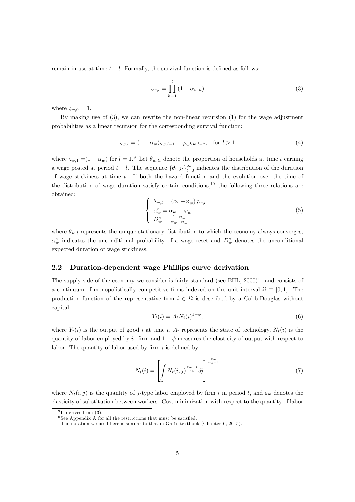remain in use at time  $t + l$ . Formally, the survival function is defined as follows:

$$
\varsigma_{w,l} = \prod_{h=1}^{l} (1 - \alpha_{w,h})
$$
\n(3)

where  $\varsigma_{w,0} = 1$ .

By making use of (3), we can rewrite the non-linear recursion (1) for the wage adjustment probabilities as a linear recursion for the corresponding survival function:

$$
\varsigma_{w,l} = (1 - \alpha_w)\varsigma_{w,l-1} - \varphi_w \varsigma_{w,l-2}, \text{ for } l > 1
$$
 (4)

where  $\zeta_{w,1} = (1 - \alpha_w)$  for  $l = 1.9$  Let  $\theta_{w,lt}$  denote the proportion of households at time t earning a wage posted at period  $t - l$ . The sequence  $\{\theta_{w,lt}\}_{l=0}^{\infty}$  indicates the distribution of the duration of wage stickiness at time  $t$ . If both the hazard function and the evolution over the time of the distribution of wage duration satisfy certain conditions,<sup>10</sup> the following three relations are obtained:

$$
\begin{cases}\n\theta_{w,l} = (\alpha_w + \varphi_w) \varsigma_{w,l} \\
\alpha_w^e = \alpha_w + \varphi_w \\
D_w^e = \frac{1 - \varphi_w}{\alpha_w + \varphi_w}\n\end{cases}
$$
\n(5)

where  $\theta_{w,l}$  represents the unique stationary distribution to which the economy always converges,  $\alpha_w^e$  indicates the unconditional probability of a wage reset and  $D_w^e$  denotes the unconditional expected duration of wage stickiness.

#### 2.2 Duration-dependent wage Phillips curve derivation

The supply side of the economy we consider is fairly standard (see EHL,  $2000$ )<sup>11</sup> and consists of a continuum of monopolistically competitive firms indexed on the unit interval  $\Omega \equiv [0,1]$ . The production function of the representative firm  $i \in \Omega$  is described by a Cobb-Douglas without capital:

$$
Y_t(i) = A_t N_t(i)^{1-\phi},\tag{6}
$$

where  $Y_t(i)$  is the output of good i at time t,  $A_t$  represents the state of technology,  $N_t(i)$  is the quantity of labor employed by i–firm and  $1 - \phi$  measures the elasticity of output with respect to labor. The quantity of labor used by firm  $i$  is defined by:

$$
N_t(i) = \left[ \int_{\Omega} N_t(i,j)^{\frac{\varepsilon_w - 1}{\varepsilon_w}} dj \right]^{\frac{\varepsilon_w}{\varepsilon_w - 1}} \tag{7}
$$

where  $N_t(i, j)$  is the quantity of j-type labor employed by firm i in period t, and  $\varepsilon_w$  denotes the elasticity of substitution between workers. Cost minimization with respect to the quantity of labor

<sup>&</sup>lt;sup>9</sup>It derives from (3).

 $10$  See Appendix A for all the restrictions that must be satisfied.

<sup>&</sup>lt;sup>11</sup> The notation we used here is similar to that in Gali's textbook (Chapter 6, 2015).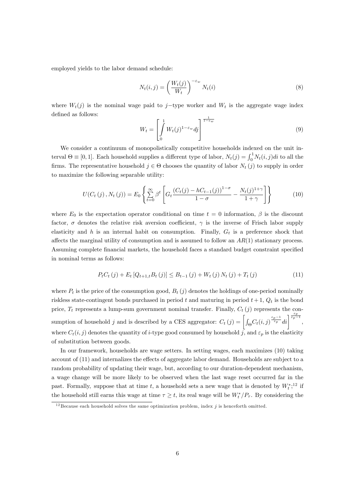employed yields to the labor demand schedule:

$$
N_t(i,j) = \left(\frac{W_t(j)}{W_t}\right)^{-\varepsilon_w} N_t(i)
$$
\n(8)

where  $W_t(j)$  is the nominal wage paid to j-type worker and  $W_t$  is the aggregate wage index defined as follows:

$$
W_t = \left[ \int_0^1 W_t(j)^{1 - \varepsilon_w} dj \right]^{\frac{1}{1 - \varepsilon_w}} \tag{9}
$$

We consider a continuum of monopolistically competitive households indexed on the unit interval  $\Theta \equiv [0, 1]$ . Each household supplies a different type of labor,  $N_t(j) = \int_0^1 N_t(i, j)di$  to all the firms. The representative household  $j \in \Theta$  chooses the quantity of labor  $N_t(j)$  to supply in order to maximize the following separable utility:

$$
U(C_t(j), N_t(j)) = E_0 \left\{ \sum_{t=0}^{\infty} \beta^t \left[ G_t \frac{(C_t(j) - hC_{t-1}(j))^{1-\sigma}}{1-\sigma} - \frac{N_t(j)^{1+\gamma}}{1+\gamma} \right] \right\}
$$
(10)

where  $E_0$  is the expectation operator conditional on time  $t=0$  information,  $\beta$  is the discount factor,  $\sigma$  denotes the relative risk aversion coefficient,  $\gamma$  is the inverse of Frisch labor supply elasticity and h is an internal habit on consumption. Finally,  $G_t$  is a preference shock that affects the marginal utility of consumption and is assumed to follow an  $AR(1)$  stationary process. Assuming complete financial markets, the household faces a standard budget constraint specified in nominal terms as follows:

$$
P_{t}C_{t}(j) + E_{t}[Q_{t+1,t}B_{t}(j)] \leq B_{t-1}(j) + W_{t}(j) N_{t}(j) + T_{t}(j)
$$
\n(11)

where  $P_t$  is the price of the consumption good,  $B_t(j)$  denotes the holdings of one-period nominally riskless state-contingent bonds purchased in period t and maturing in period  $t + 1$ ,  $Q_t$  is the bond price,  $T_t$  represents a lump-sum government nominal transfer. Finally,  $C_t(j)$  represents the consumption of household j and is described by a CES aggregator:  $C_t(j) = \left[\int_{\Theta} C_t(i,j)^{\frac{\varepsilon_p-1}{\varepsilon_p}} di \right]^{\frac{\varepsilon_p}{\varepsilon_p-1}}$ where  $C_t(i, j)$  denotes the quantity of *i*-type good consumed by household j, and  $\varepsilon_p$  is the elasticity of substitution between goods.

In our framework, households are wage setters. In setting wages, each maximizes (10) taking account of  $(11)$  and internalizes the effects of aggregate labor demand. Households are subject to a random probability of updating their wage, but, according to our duration-dependent mechanism, a wage change will be more likely to be observed when the last wage reset occurred far in the past. Formally, suppose that at time t, a household sets a new wage that is denoted by  $W_t^{\ast,12}$  if the household still earns this wage at time  $\tau \geq t$ , its real wage will be  $W_t^*/P_\tau$ . By considering the

 $12$  Because each household solves the same optimization problem, index j is henceforth omitted.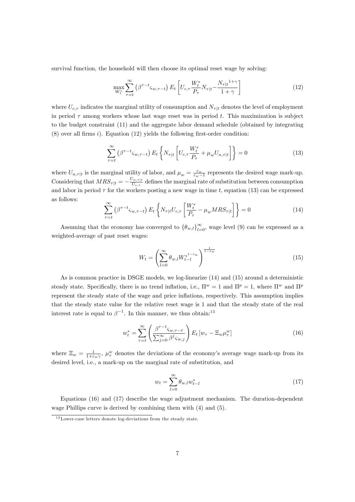survival function, the household will then choose its optimal reset wage by solving:

$$
\max_{W_t^*} \sum_{\tau=t}^{\infty} \left( \beta^{\tau-t} \varsigma_{w,\tau-t} \right) E_t \left[ U_{c,\tau} \frac{W_t^*}{P_\tau} N_{\tau|t} - \frac{N_{\tau|t}^{1+\gamma}}{1+\gamma} \right]
$$
(12)

where  $U_{c,\tau}$  indicates the marginal utility of consumption and  $N_{\tau}|_t$  denotes the level of employment in period  $\tau$  among workers whose last wage reset was in period t. This maximization is subject to the budget constraint (11) and the aggregate labor demand schedule (obtained by integrating  $(8)$  over all firms i). Equation (12) yields the following first-order condition:

$$
\sum_{\tau=t}^{\infty} \left( \beta^{\tau-t} \varsigma_{w,\tau-t} \right) E_t \left\{ N_{\tau|t} \left[ U_{c,\tau} \frac{W_t^*}{P_{\tau}} + \mu_w U_{n,\tau|t} \right] \right\} = 0 \tag{13}
$$

where  $U_{n,\tau|t}$  is the marginal utility of labor, and  $\mu_w = \frac{\varepsilon_w}{\varepsilon_w - 1}$  represents the desired wage mark-up.  $\varepsilon_w-1$ Considering that  $MRS_{\tau}|_t = -\frac{U_{n,\tau}}{U_{c,\tau}}$  defines the marginal rate of substitution between consumption and labor in period  $\tau$  for the workers posting a new wage in time t, equation (13) can be expressed as follows:

$$
\sum_{\tau=t}^{\infty} \left( \beta^{\tau-t} \varsigma_{w,\tau-t} \right) E_t \left\{ N_{\tau|t} U_{c,\tau} \left[ \frac{W_t^*}{P_\tau} - \mu_w M R S_{\tau|t} \right] \right\} = 0 \tag{14}
$$

Assuming that the economy has converged to  $\{\theta_{w,l}\}_{l=0}^{\infty}$ , wage level (9) can be expressed as a weighted-average of past reset wages:

$$
W_t = \left(\sum_{l=0}^{\infty} \theta_{w,l} W_{t-l}^{*^{1-\epsilon_w}}\right)^{\frac{1}{1-\epsilon_w}}
$$
\n(15)

As is common practice in DSGE models, we log-linearize (14) and (15) around a deterministic steady state. Specifically, there is no trend inflation, i.e.,  $\Pi^w = 1$  and  $\Pi^p = 1$ , where  $\Pi^w$  and  $\Pi^p$ represent the steady state of the wage and price ináations, respectively. This assumption implies that the steady state value for the relative reset wage is 1 and that the steady state of the real interest rate is equal to  $\beta^{-1}$ . In this manner, we thus obtain:<sup>13</sup>

$$
w_t^* = \sum_{\tau=t}^{\infty} \left( \frac{\beta^{\tau-t} \zeta_{w,\tau-t}}{\sum_{j=0}^{\infty} \beta^j \zeta_{w,j}} \right) E_t \left[ w_{\tau} - \Xi_w \mu_{\tau}^w \right]
$$
(16)

where  $\Xi_w = \frac{1}{1+\epsilon_w \gamma}$ ,  $\mu_\tau^w$  denotes the deviations of the economy's average wage mark-up from its desired level, i.e., a mark-up on the marginal rate of substitution, and

$$
w_t = \sum_{l=0}^{\infty} \theta_{w,l} w_{t-l}^* \tag{17}
$$

Equations (16) and (17) describe the wage adjustment mechanism. The duration-dependent wage Phillips curve is derived by combining them with (4) and (5).

 $13$  Lower-case letters denote log-deviations from the steady state.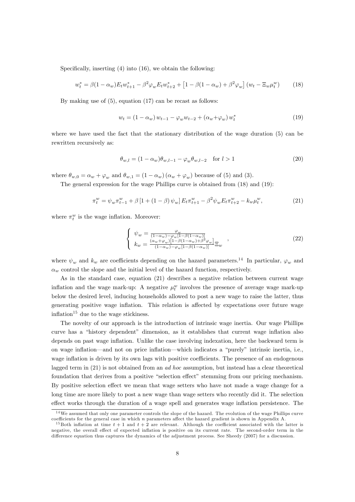Specifically, inserting  $(4)$  into  $(16)$ , we obtain the following:

$$
w_t^* = \beta (1 - \alpha_w) E_t w_{t+1}^* - \beta^2 \varphi_w E_t w_{t+2}^* + \left[ 1 - \beta (1 - \alpha_w) + \beta^2 \varphi_w \right] (w_t - \Xi_w \mu_t^w) \tag{18}
$$

By making use of (5), equation (17) can be recast as follows:

$$
w_t = (1 - \alpha_w) w_{t-1} - \varphi_w w_{t-2} + (\alpha_w + \varphi_w) w_t^* \tag{19}
$$

where we have used the fact that the stationary distribution of the wage duration (5) can be rewritten recursively as:

$$
\theta_{w,l} = (1 - \alpha_w)\theta_{w,l-1} - \varphi_w \theta_{w,l-2} \quad \text{for } l > 1
$$
\n
$$
(20)
$$

where  $\theta_{w,0} = \alpha_w + \varphi_w$  and  $\theta_{w,1} = (1 - \alpha_w)(\alpha_w + \varphi_w)$  because of (5) and (3).

The general expression for the wage Phillips curve is obtained from (18) and (19):

$$
\pi_t^w = \psi_w \pi_{t-1}^w + \beta \left[ 1 + (1 - \beta) \psi_w \right] E_t \pi_{t+1}^w - \beta^2 \psi_w E_t \pi_{t+2}^w - k_w \mu_t^w, \tag{21}
$$

where  $\pi_t^w$  is the wage inflation. Moreover:

$$
\begin{cases}\n\psi_w = \frac{\varphi_w}{(1-\alpha_w)-\varphi_w[1-\beta(1-\alpha_w)]} \\
k_w = \frac{(\alpha_w+\varphi_w)[1-\beta(1-\alpha_w)+\beta^2\varphi_w]}{(1-\alpha_w)-\varphi_w[1-\beta(1-\alpha_w)]}\Xi_w\n\end{cases},
$$
\n(22)

where  $\psi_w$  and  $k_w$  are coefficients depending on the hazard parameters.<sup>14</sup> In particular,  $\varphi_w$  and  $\alpha_w$  control the slope and the initial level of the hazard function, respectively.

As in the standard case, equation (21) describes a negative relation between current wage inflation and the wage mark-up: A negative  $\mu_t^w$  involves the presence of average wage mark-up below the desired level, inducing households allowed to post a new wage to raise the latter, thus generating positive wage inflation. This relation is affected by expectations over future wage inflation<sup>15</sup> due to the wage stickiness.

The novelty of our approach is the introduction of intrinsic wage inertia. Our wage Phillips curve has a "history dependent" dimension, as it establishes that current wage inflation also depends on past wage inflation. Unlike the case involving indexation, here the backward term is on wage inflation—and not on price inflation—which indicates a "purely" intrinsic inertia, i.e., wage inflation is driven by its own lags with positive coefficients. The presence of an endogenous lagged term in (21) is not obtained from an *ad hoc* assumption, but instead has a clear theoretical foundation that derives from a positive "selection effect" stemming from our pricing mechanism. By positive selection effect we mean that wage setters who have not made a wage change for a long time are more likely to post a new wage than wage setters who recently did it. The selection effect works through the duration of a wage spell and generates wage inflation persistence. The

<sup>&</sup>lt;sup>14</sup>We assumed that only one parameter controls the slope of the hazard. The evolution of the wage Phillips curve coefficients for the general case in which  $n$  parameters affect the hazard gradient is shown in Appendix A.

<sup>&</sup>lt;sup>15</sup>Both inflation at time  $t + 1$  and  $t + 2$  are relevant. Although the coefficient associated with the latter is negative, the overall effect of expected inflation is positive on its current rate. The second-order term in the difference equation thus captures the dynamics of the adjustment process. See Sheedy (2007) for a discussion.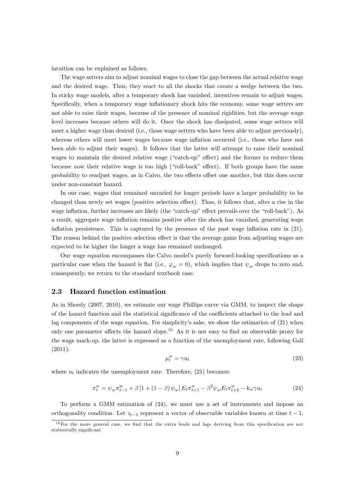intuition can be explained as follows.

The wage setters aim to adjust nominal wages to close the gap between the actual relative wage and the desired wage. Thus, they react to all the shocks that create a wedge between the two. In sticky wage models, after a temporary shock has vanished, incentives remain to adjust wages. Specifically, when a temporary wage inflationary shock hits the economy, some wage setters are not able to raise their wages, because of the presence of nominal rigidities, but the average wage level increases because others will do it. Once the shock has dissipated, some wage setters will meet a higher wage than desired (i.e., those wage setters who have been able to adjust previously), whereas others will meet lower wages because wage inflation occurred (i.e., those who have not been able to adjust their wages). It follows that the latter will attempt to raise their nominal wages to maintain the desired relative wage ("catch-up" effect) and the former to reduce them because now their relative wage is too high ("roll-back" effect). If both groups have the same probability to readjust wages, as in Calvo, the two effects offset one another, but this does occur under non-constant hazard.

In our case, wages that remained unvaried for longer periods have a larger probability to be changed than newly set wages (positive selection effect). Thus, it follows that, after a rise in the wage inflation, further increases are likely (the "catch-up" effect prevails over the "roll-back"). As a result, aggregate wage inflation remains positive after the shock has vanished, generating wage inflation persistence. This is captured by the presence of the past wage inflation rate in  $(21)$ . The reason behind the positive selection effect is that the average gains from adjusting wages are expected to be higher the longer a wage has remained unchanged.

Our wage equation encompasses the Calvo model's purely forward-looking specifications as a particular case when the hazard is flat (i.e.,  $\varphi_w = 0$ ), which implies that  $\psi_w$  drops to zero and, consequently, we return to the standard textbook case.

#### 2.3 Hazard function estimation

As in Sheedy (2007, 2010), we estimate our wage Phillips curve via GMM, to inspect the shape of the hazard function and the statistical significance of the coefficients attached to the lead and lag components of the wage equation. For simplicity's sake, we show the estimation of (21) when only one parameter affects the hazard slope.<sup>16</sup> As it is not easy to find an observable proxy for the wage mark-up, the latter is expressed as a function of the unemployment rate, following Galí (2011):

$$
\mu_t^w = \gamma u_t \tag{23}
$$

where  $u_t$  indicates the unemployment rate. Therefore, (21) becomes:

$$
\pi_t^w = \psi_w \pi_{t-1}^w + \beta \left[ 1 + (1 - \beta) \psi_w \right] E_t \pi_{t+1}^w - \beta^2 \psi_w E_t \pi_{t+2}^w - k_w \gamma u_t \tag{24}
$$

To perform a GMM estimation of (24), we must use a set of instruments and impose an orthogonality condition. Let  $z_{t-1}$  represent a vector of observable variables known at time  $t - 1$ .

 $16$  For the more general case, we find that the extra leads and lags deriving from this specification are not statistically significant.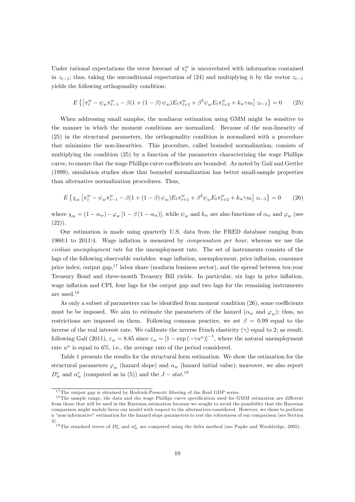Under rational expectations the error forecast of  $\pi_t^w$  is uncorrelated with information contained in  $z_{t-1}$ ; thus, taking the unconditional expectation of (24) and multiplying it by the vector  $z_{t-1}$ yields the following orthogonality condition:

$$
E\left\{\left[\pi_t^w - \psi_w \pi_{t-1}^w - \beta (1 + (1 - \beta)\psi_w) E_t \pi_{t+1}^w + \beta^2 \psi_w E_t \pi_{t+2}^w + k_w \gamma u_t\right] z_{t-1}\right\} = 0 \tag{25}
$$

When addressing small samples, the nonlinear estimation using GMM might be sensitive to the manner in which the moment conditions are normalized. Because of the non-linearity of (25) in the structural parameters, the orthogonality condition is normalized with a procedure that minimizes the non-linearities. This procedure, called bounded normalization, consists of multiplying the condition (25) by a function of the parameters characterizing the wage Phillips curve, to ensure that the wage Phillips curve coefficients are bounded. As noted by Galí and Gertler (1999), simulation studies show that bounded normalization has better small-sample properties than alternative normalization procedures. Thus,

$$
E\left\{\chi_w\left[\pi_t^w - \psi_w \pi_{t-1}^w - \beta(1 + (1 - \beta)\psi_w)E_t \pi_{t+1}^w + \beta^2 \psi_w E_t \pi_{t+2}^w + k_w \gamma u_t\right] z_{t-1}\right\} = 0\tag{26}
$$

where  $\chi_w = (1 - \alpha_w) - \varphi_w [1 - \beta (1 - \alpha_w)]$ , while  $\psi_w$  and  $k_w$  are also functions of  $\alpha_w$  and  $\varphi_w$  (see  $(22)$ ).

Our estimation is made using quarterly U.S. data from the FRED database ranging from 1960:1 to 2011:4. Wage inflation is measured by *compensation per hour*, whereas we use the civilian unemployment rate for the unemployment rate. The set of instruments consists of the lags of the following observable variables: wage inflation, unemployment, price inflation, consumer price index, output gap, $17$  labor share (nonfarm business sector), and the spread between ten-year Treasury Bond and three-month Treasury Bill yields. In particular, six lags in price ináation, wage inflation and CPI, four lags for the output gap and two lags for the remaining instruments are used.<sup>18</sup>

As only a subset of parameters can be identified from moment condition  $(26)$ , some coefficients must be be imposed. We aim to estimate the parameters of the hazard  $(\alpha_w$  and  $\varphi_w)$ ; thus, no restrictions are imposed on them. Following common practice, we set  $\beta = 0.99$  equal to the inverse of the real interest rate. We calibrate the inverse Frisch elasticity ( $\gamma$ ) equal to 2; as result, following Galí (2011),  $\varepsilon_w = 8.85$  since  $\varepsilon_w = [1 - \exp(-\gamma u^n)]^{-1}$ , where the natural unemployment rate  $u^n$  is equal to 6%, i.e., the average rate of the period considered.

Table 1 presents the results for the structural form estimation. We show the estimation for the structural parameters  $\varphi_w$  (hazard slope) and  $\alpha_w$  (hazard initial value); moreover, we also report  $D_w^e$  and  $\alpha_w^e$  (computed as in (5)) and the  $J - stat.^{19}$ 

 $17$ The output gap is obtained by Hodrick-Prescott filtering of the Real GDP series.

 $18$  The sample range, the data and the wage Phillips curve specification used for GMM estimation are different from those that will be used in the Bayesian estimation because we sought to avoid the possibility that the Bayesian comparison might unduly favor our model with respect to the alternatives considered. However, we chose to perform a "non-informative" estimation for the hazard slope parameters to test the robustness of our comparison (see Section 4).

<sup>&</sup>lt;sup>19</sup>The standard errors of  $D_w^e$  and  $\alpha_w^e$  are computed using the delta method (see Papke and Wooldridge, 2005).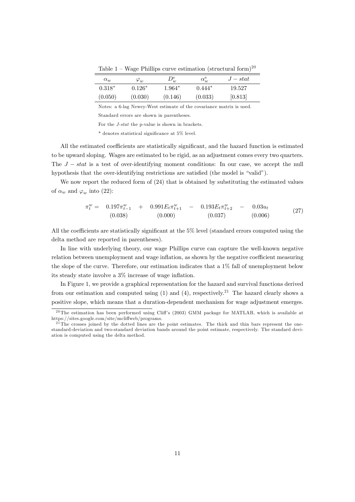| $\alpha_w$ | $\varphi_w$ | $D^e_w$ | $\alpha_w^e$ | $J - stat$ |
|------------|-------------|---------|--------------|------------|
| $0.318*$   | $0.126*$    | 1.964*  | $0.444*$     | 19.527     |
| (0.050)    | (0.030)     | (0.146) | (0.033)      | [0.813]    |

Table 1 – Wage Phillips curve estimation (structural form)<sup>20</sup>

Notes: a 6-lag Newey-West estimate of the covariance matrix is used.

Standard errors are shown in parentheses.

For the J-stat the p-value is shown in brackets.

 $*$  denotes statistical significance at 5% level.

All the estimated coefficients are statistically significant, and the hazard function is estimated to be upward sloping. Wages are estimated to be rigid, as an adjustment comes every two quarters. The  $J - stat$  is a test of over-identifying moment conditions: In our case, we accept the null hypothesis that the over-identifying restrictions are satisfied (the model is "valid").

We now report the reduced form of  $(24)$  that is obtained by substituting the estimated values of  $\alpha_w$  and  $\varphi_w$  into (22):

$$
\pi_t^w = 0.197 \pi_{t-1}^w + 0.991 E_t \pi_{t+1}^w - 0.193 E_t \pi_{t+2}^w - 0.03 u_t
$$
\n(0.038) (0.000) (0.037) (0.006) (27)

All the coefficients are statistically significant at the  $5\%$  level (standard errors computed using the delta method are reported in parentheses).

In line with underlying theory, our wage Phillips curve can capture the well-known negative relation between unemployment and wage inflation, as shown by the negative coefficient measuring the slope of the curve. Therefore, our estimation indicates that a 1% fall of unemployment below its steady state involve a  $3\%$  increase of wage inflation.

In Figure 1, we provide a graphical representation for the hazard and survival functions derived from our estimation and computed using  $(1)$  and  $(4)$ , respectively.<sup>21</sup> The hazard clearly shows a positive slope, which means that a duration-dependent mechanism for wage adjustment emerges.

 $20$ The estimation has been performed using Cliff's (2003) GMM package for MATLAB, which is available at https://sites.google.com/site/mcliffweb/programs.

 $^{21}$ The crosses joined by the dotted lines are the point estimates. The thick and thin bars represent the onestandard-deviation and two-standard deviation bands around the point estimate, respectively. The standard deviation is computed using the delta method.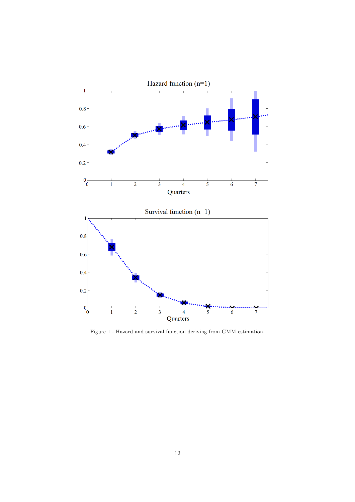

Figure 1 - Hazard and survival function deriving from GMM estimation.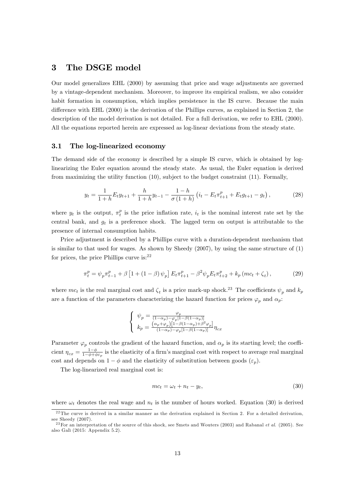## 3 The DSGE model

Our model generalizes EHL (2000) by assuming that price and wage adjustments are governed by a vintage-dependent mechanism. Moreover, to improve its empirical realism, we also consider habit formation in consumption, which implies persistence in the IS curve. Because the main difference with EHL (2000) is the derivation of the Phillips curves, as explained in Section 2, the description of the model derivation is not detailed. For a full derivation, we refer to EHL (2000). All the equations reported herein are expressed as log-linear deviations from the steady state.

#### 3.1 The log-linearized economy

The demand side of the economy is described by a simple IS curve, which is obtained by loglinearizing the Euler equation around the steady state. As usual, the Euler equation is derived from maximizing the utility function (10), subject to the budget constraint (11). Formally,

$$
y_t = \frac{1}{1+h} E_t y_{t+1} + \frac{h}{1+h} y_{t-1} - \frac{1-h}{\sigma(1+h)} \left( i_t - E_t \pi_{t+1}^p + E_t g_{t+1} - g_t \right),\tag{28}
$$

where  $y_t$  is the output,  $\pi_t^p$  is the price inflation rate,  $i_t$  is the nominal interest rate set by the central bank, and  $g_t$  is a preference shock. The lagged term on output is attributable to the presence of internal consumption habits.

Price adjustment is described by a Phillips curve with a duration-dependent mechanism that is similar to that used for wages. As shown by Sheedy (2007), by using the same structure of (1) for prices, the price Phillips curve is: $22$ 

$$
\pi_t^p = \psi_p \pi_{t-1}^p + \beta \left[ 1 + (1 - \beta) \psi_p \right] E_t \pi_{t+1}^p - \beta^2 \psi_p E_t \pi_{t+2}^p + k_p \left( mc_t + \zeta_t \right),\tag{29}
$$

where  $mc_t$  is the real marginal cost and  $\zeta_t$  is a price mark-up shock.<sup>23</sup> The coefficients  $\psi_p$  and  $k_p$ are a function of the parameters characterizing the hazard function for prices  $\varphi_p$  and  $\alpha_p$ :

$$
\left\{ \begin{array}{l} \psi_p=\frac{\varphi_p}{(1-\alpha_p)-\varphi_p[1-\beta(1-\alpha_p)]}\\ k_p=\frac{\left(\alpha_p+\varphi_p\right)\left[1-\beta(1-\alpha_p)+\beta^2\varphi_p\right]}{(1-\alpha_p)-\varphi_p[1-\beta(1-\alpha_p)]}\eta_{cx} \end{array} \right.
$$

Parameter  $\varphi_p$  controls the gradient of the hazard function, and  $\alpha_p$  is its starting level; the coefficient  $\eta_{cx} = \frac{1-\phi}{1-\phi+\phi\varepsilon_p}$  is the elasticity of a firm's marginal cost with respect to average real marginal cost and depends on  $1 - \phi$  and the elasticity of substitution between goods  $(\varepsilon_p)$ .

The log-linearized real marginal cost is:

$$
mc_t = \omega_t + n_t - y_t,\tag{30}
$$

where  $\omega_t$  denotes the real wage and  $n_t$  is the number of hours worked. Equation (30) is derived

 $22$ The curve is derived in a similar manner as the derivation explained in Section 2. For a detailed derivation, see Sheedy (2007).

<sup>&</sup>lt;sup>23</sup> For an interpretation of the source of this shock, see Smets and Wouters (2003) and Rabanal *et al.* (2005). See also Galì  $(2015:$  Appendix 5.2).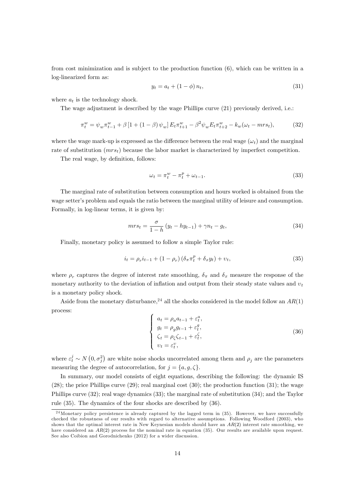from cost minimization and is subject to the production function (6), which can be written in a log-linearized form as:

$$
y_t = a_t + (1 - \phi) n_t,
$$
\n(31)

where  $a_t$  is the technology shock.

The wage adjustment is described by the wage Phillips curve (21) previously derived, i.e.:

$$
\pi_t^w = \psi_w \pi_{t-1}^w + \beta \left[ 1 + (1 - \beta) \psi_w \right] E_t \pi_{t+1}^w - \beta^2 \psi_w E_t \pi_{t+2}^w - k_w (\omega_t - m r s_t), \tag{32}
$$

where the wage mark-up is expressed as the difference between the real wage  $(\omega_t)$  and the marginal rate of substitution  $(mrs_t)$  because the labor market is characterized by imperfect competition.

The real wage, by definition, follows:

$$
\omega_t = \pi_t^w - \pi_t^p + \omega_{t-1}.\tag{33}
$$

The marginal rate of substitution between consumption and hours worked is obtained from the wage setter's problem and equals the ratio between the marginal utility of leisure and consumption. Formally, in log-linear terms, it is given by:

$$
mrs_t = \frac{\sigma}{1 - h} (y_t - hy_{t-1}) + \gamma n_t - g_t,
$$
\n(34)

Finally, monetary policy is assumed to follow a simple Taylor rule:

$$
i_t = \rho_r i_{t-1} + (1 - \rho_r) (\delta_\pi \pi_t^p + \delta_x y_t) + v_t,
$$
\n(35)

where  $\rho_r$  captures the degree of interest rate smoothing,  $\delta_{\pi}$  and  $\delta_x$  measure the response of the monetary authority to the deviation of inflation and output from their steady state values and  $v_t$ is a monetary policy shock.

Aside from the monetary disturbance,<sup>24</sup> all the shocks considered in the model follow an  $AR(1)$ process:

$$
\begin{cases}\n a_t = \rho_a a_{t-1} + \varepsilon_t^a, \\
 g_t = \rho_g g_{t-1} + \varepsilon_t^g, \\
 \zeta_t = \rho_\zeta \zeta_{t-1} + \varepsilon_t^\zeta, \\
 v_t = \varepsilon_t^v,\n\end{cases} \tag{36}
$$

where  $\varepsilon_t^j \sim N(0, \sigma_j^2)$  are white noise shocks uncorrelated among them and  $\rho_j$  are the parameters measuring the degree of autocorrelation, for  $j = \{a, g, \zeta\}.$ 

In summary, our model consists of eight equations, describing the following: the dynamic IS  $(28)$ ; the price Phillips curve  $(29)$ ; real marginal cost  $(30)$ ; the production function  $(31)$ ; the wage Phillips curve (32); real wage dynamics (33); the marginal rate of substitution (34); and the Taylor rule (35). The dynamics of the four shocks are described by (36).

 $24$ Monetary policy persistence is already captured by the lagged term in (35). However, we have successfully checked the robustness of our results with regard to alternative assumptions. Following Woodford (2003), who shows that the optimal interest rate in New Keynesian models should have an  $AR(2)$  interest rate smoothing, we have considered an AR(2) process for the nominal rate in equation (35). Our results are available upon request. See also Coibion and Gorodnichenko (2012) for a wider discussion.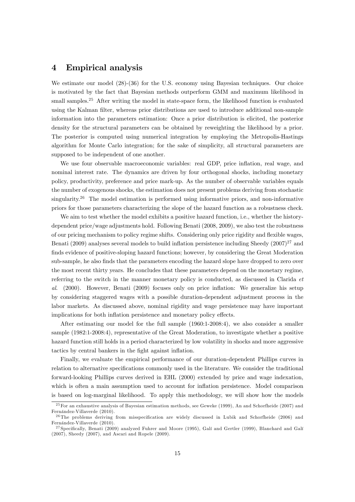## 4 Empirical analysis

We estimate our model  $(28)-(36)$  for the U.S. economy using Bayesian techniques. Our choice is motivated by the fact that Bayesian methods outperform GMM and maximum likelihood in small samples.<sup>25</sup> After writing the model in state-space form, the likelihood function is evaluated using the Kalman filter, whereas prior distributions are used to introduce additional non-sample information into the parameters estimation: Once a prior distribution is elicited, the posterior density for the structural parameters can be obtained by reweighting the likelihood by a prior. The posterior is computed using numerical integration by employing the Metropolis-Hastings algorithm for Monte Carlo integration; for the sake of simplicity, all structural parameters are supposed to be independent of one another.

We use four observable macroeconomic variables: real GDP, price inflation, real wage, and nominal interest rate. The dynamics are driven by four orthogonal shocks, including monetary policy, productivity, preference and price mark-up. As the number of observable variables equals the number of exogenous shocks, the estimation does not present problems deriving from stochastic singularity.<sup>26</sup> The model estimation is performed using informative priors, and non-informative priors for those parameters characterizing the slope of the hazard function as a robustness check.

We aim to test whether the model exhibits a positive hazard function, i.e., whether the historydependent price/wage adjustments hold. Following Benati (2008, 2009), we also test the robustness of our pricing mechanism to policy regime shifts. Considering only price rigidity and áexible wages, Benati (2009) analyses several models to build inflation persistence including Sheedy (2007)<sup>27</sup> and finds evidence of positive-sloping hazard functions; however, by considering the Great Moderation sub-sample, he also finds that the parameters encoding the hazard slope have dropped to zero over the most recent thirty years. He concludes that these parameters depend on the monetary regime, referring to the switch in the manner monetary policy is conducted, as discussed in Clarida et al. (2000). However, Benati (2009) focuses only on price ináation: We generalize his setup by considering staggered wages with a possible duration-dependent adjustment process in the labor markets. As discussed above, nominal rigidity and wage persistence may have important implications for both inflation persistence and monetary policy effects.

After estimating our model for the full sample (1960:1-2008:4), we also consider a smaller sample (1982:1-2008:4), representative of the Great Moderation, to investigate whether a positive hazard function still holds in a period characterized by low volatility in shocks and more aggressive tactics by central bankers in the fight against inflation.

Finally, we evaluate the empirical performance of our duration-dependent Phillips curves in relation to alternative specifications commonly used in the literature. We consider the traditional forward-looking Phillips curves derived in EHL (2000) extended by price and wage indexation, which is often a main assumption used to account for inflation persistence. Model comparison is based on log-marginal likelihood. To apply this methodology, we will show how the models

<sup>&</sup>lt;sup>25</sup> For an exhaustive analysis of Bayesian estimation methods, see Geweke (1999), An and Schorfheide (2007) and Fernández-Villaverde (2010).

 $26$  The problems deriving from misspecification are widely discussed in Lubik and Schorfheide (2006) and Fernández-Villaverde (2010).

 $^{27}$ Specifically, Benati (2009) analyzed Fuhrer and Moore (1995), Galí and Gertler (1999), Blanchard and Galí (2007), Sheedy (2007), and Ascari and Ropele (2009).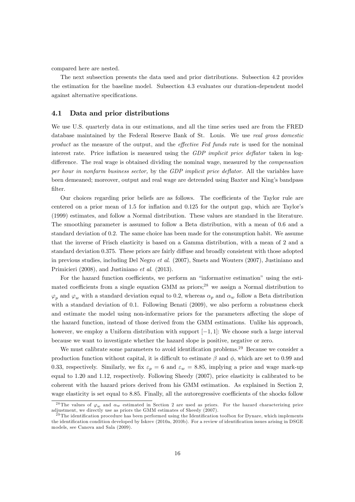compared here are nested.

The next subsection presents the data used and prior distributions. Subsection 4.2 provides the estimation for the baseline model. Subsection 4.3 evaluates our duration-dependent model against alternative specifications.

#### 4.1 Data and prior distributions

We use U.S. quarterly data in our estimations, and all the time series used are from the FRED database maintained by the Federal Reserve Bank of St. Louis. We use real gross domestic product as the measure of the output, and the *effective Fed funds rate* is used for the nominal interest rate. Price inflation is measured using the GDP implicit price deflator taken in logdifference. The real wage is obtained dividing the nominal wage, measured by the *compensation* per hour in nonfarm business sector, by the  $GDP$  implicit price deflator. All the variables have been demeaned; moreover, output and real wage are detrended using Baxter and King's bandpass filter.

Our choices regarding prior beliefs are as follows. The coefficients of the Taylor rule are centered on a prior mean of  $1.5$  for inflation and  $0.125$  for the output gap, which are Taylor's (1999) estimates, and follow a Normal distribution. These values are standard in the literature. The smoothing parameter is assumed to follow a Beta distribution, with a mean of 0:6 and a standard deviation of 0.2. The same choice has been made for the consumption habit. We assume that the inverse of Frisch elasticity is based on a Gamma distribution, with a mean of 2 and a standard deviation 0.375. These priors are fairly diffuse and broadly consistent with those adopted in previous studies, including Del Negro et al. (2007), Smets and Wouters (2007), Justiniano and Primicieri (2008), and Justiniano et al. (2013).

For the hazard function coefficients, we perform an "informative estimation" using the estimated coefficients from a single equation GMM as priors;<sup>28</sup> we assign a Normal distribution to  $\varphi_p$  and  $\varphi_w$  with a standard deviation equal to 0.2, whereas  $\alpha_p$  and  $\alpha_w$  follow a Beta distribution with a standard deviation of 0.1. Following Benati  $(2009)$ , we also perform a robustness check and estimate the model using non-informative priors for the parameters affecting the slope of the hazard function, instead of those derived from the GMM estimations. Unlike his approach, however, we employ a Uniform distribution with support  $[-1, 1]$ : We choose such a large interval because we want to investigate whether the hazard slope is positive, negative or zero.

We must calibrate some parameters to avoid identification problems.<sup>29</sup> Because we consider a production function without capital, it is difficult to estimate  $\beta$  and  $\phi$ , which are set to 0.99 and 0.33, respectively. Similarly, we fix  $\varepsilon_p = 6$  and  $\varepsilon_w = 8.85$ , implying a price and wage mark-up equal to 1:20 and 1:12, respectively. Following Sheedy (2007), price elasticity is calibrated to be coherent with the hazard priors derived from his GMM estimation. As explained in Section 2, wage elasticity is set equal to 8.85. Finally, all the autoregressive coefficients of the shocks follow

<sup>&</sup>lt;sup>28</sup> The values of  $\varphi_w$  and  $\alpha_w$  estimated in Section 2 are used as priors. For the hazard characterizing price adjustment, we directly use as priors the GMM estimates of Sheedy (2007).

 $^{29}$ The identification procedure has been performed using the Identification toolbox for Dynare, which implements the identification condition developed by Iskrev (2010a, 2010b). For a review of identification issues arising in DSGE models, see Canova and Sala (2009).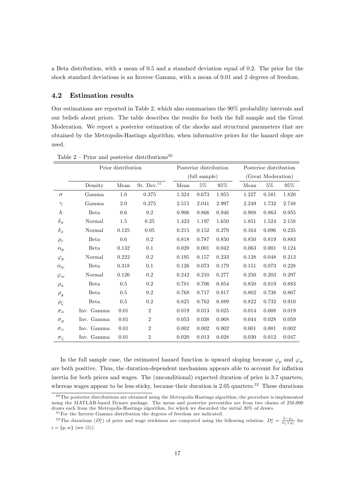a Beta distribution, with a mean of 0:5 and a standard deviation equal of 0:2. The prior for the shock standard deviations is an Inverse Gamma, with a mean of 0.01 and 2 degrees of freedom.

### 4.2 Estimation results

Our estimations are reported in Table 2, which also summarizes the 90% probability intervals and our beliefs about priors. The table describes the results for both the full sample and the Great Moderation. We report a posterior estimation of the shocks and structural parameters that are obtained by the Metropolis-Hastings algorithm, when informative priors for the hazard slope are used.

|                  | Prior distribution |       |                | Posterior distribution |       |       | Posterior distribution |       |       |        |
|------------------|--------------------|-------|----------------|------------------------|-------|-------|------------------------|-------|-------|--------|
|                  |                    |       |                | (full sample)          |       |       | (Great Moderation)     |       |       |        |
|                  | Density            | Mean  | St. Dev. $31$  | Mean                   | $5\%$ | 95%   |                        | Mean  | $5\%$ | $95\%$ |
| $\sigma$         | Gamma              | 1.0   | 0.375          | 1.324                  | 0.673 | 1.955 |                        | 1.227 | 0.581 | 1.820  |
| $\gamma$         | Gamma              | 2.0   | 0.375          | 2.515                  | 2.041 | 2.997 |                        | 2.249 | 1.732 | 2.748  |
| $\boldsymbol{h}$ | Beta               | 0.6   | 0.2            | 0.906                  | 0.866 | 0.946 |                        | 0.908 | 0.863 | 0.955  |
| $\delta_\pi$     | Normal             | 1.5   | 0.25           | 1.423                  | 1.197 | 1.650 |                        | 1.851 | 1.524 | 2.158  |
| $\delta_x$       | Normal             | 0.125 | $0.05\,$       | 0.215                  | 0.152 | 0.279 |                        | 0.164 | 0.096 | 0.235  |
| $\rho_r$         | Beta               | 0.6   | 0.2            | 0.818                  | 0.787 | 0.850 |                        | 0.850 | 0.819 | 0.883  |
| $\alpha_p$       | <b>Beta</b>        | 0.132 | 0.1            | 0.020                  | 0.001 | 0.042 |                        | 0.063 | 0.001 | 0.124  |
| $\varphi_p$      | Normal             | 0.222 | 0.2            | 0.195                  | 0.157 | 0.233 |                        | 0.128 | 0.048 | 0.213  |
| $\alpha_w$       | Beta               | 0.318 | 0.1            | 0.126                  | 0.073 | 0.179 |                        | 0.151 | 0.073 | 0.228  |
| $\varphi_w$      | Normal             | 0.126 | 0.2            | 0.242                  | 0.210 | 0.277 |                        | 0.250 | 0.203 | 0.297  |
| $\rho_a$         | Beta               | 0.5   | 0.2            | 0.781                  | 0.706 | 0.854 |                        | 0.850 | 0.819 | 0.883  |
| $\rho_g$         | Beta               | 0.5   | 0.2            | 0.768                  | 0.717 | 0.817 |                        | 0.802 | 0.738 | 0.867  |
| $\rho_{\zeta}$   | <b>Beta</b>        | 0.5   | 0.2            | 0.825                  | 0.762 | 0.889 |                        | 0.822 | 0.732 | 0.910  |
| $\sigma_a$       | Inv. Gamma         | 0.01  | $\overline{2}$ | 0.019                  | 0.013 | 0.025 |                        | 0.014 | 0.008 | 0.019  |
| $\sigma_g$       | Inv. Gamma         | 0.01  | $\overline{2}$ | 0.053                  | 0.038 | 0.068 |                        | 0.044 | 0.028 | 0.059  |
| $\sigma_v$       | Inv. Gamma         | 0.01  | $\overline{2}$ | 0.002                  | 0.002 | 0.002 |                        | 0.001 | 0.001 | 0.002  |
| $\sigma_{\zeta}$ | Inv. Gamma         | 0.01  | $\overline{2}$ | 0.020                  | 0.013 | 0.028 |                        | 0.030 | 0.012 | 0.047  |

Table 2 – Prior and posterior distributions<sup>30</sup>

In the full sample case, the estimated hazard function is upward sloping because  $\varphi_p$  and  $\varphi_w$ are both positive. Thus, the duration-dependent mechanism appears able to account for inflation inertia for both prices and wages. The (unconditional) expected duration of price is 3:7 quarters, whereas wages appear to be less sticky, because their duration is  $2.05$  quarters.<sup>32</sup> These durations

 $30$  The posterior distributions are obtained using the Metropolis-Hastings algorithm; the procedure is implemented using the MATLAB-based Dynare package. The mean and posterior percentiles are from two chains of 250,000 draws each from the Metropolis-Hastings algorithm, for which we discarded the initial 30% of draws.

 $\rm{^{31}For}$  the Inverse Gamma distribution the degrees of freedom are indicated.

<sup>&</sup>lt;sup>32</sup>The durations  $(D_i^e)$  of price and wage stickiness are computed using the following relation:  $D_i^e = \frac{1-\varphi_i}{\alpha_i+\varphi_i}$  for  $i = \{p, w\}$  (see (5)).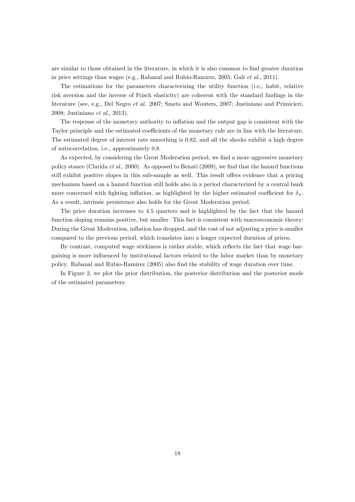are similar to those obtained in the literature, in which it is also common to find greater duration in price settings than wages (e.g., Rabanal and Rubio-Ramirez, 2005; Galí et al., 2011).

The estimations for the parameters characterizing the utility function (i.e., habit, relative risk aversion and the inverse of Frisch elasticity) are coherent with the standard findings in the literature (see, e.g., Del Negro et al. 2007; Smets and Wouters, 2007; Justiniano and Primicieri, 2008; Justiniano et al., 2013).

The response of the monetary authority to inflation and the output gap is consistent with the Taylor principle and the estimated coefficients of the monetary rule are in line with the literature. The estimated degree of interest rate smoothing is 0:82, and all the shocks exhibit a high degree of autocorrelation, i.e., approximately 0:8.

As expected, by considering the Great Moderation period, we find a more aggressive monetary policy stance (Clarida *et al.*, 2000). As opposed to Benati (2009), we find that the hazard functions still exhibit positive slopes in this sub-sample as well. This result offers evidence that a pricing mechanism based on a hazard function still holds also in a period characterized by a central bank more concerned with fighting inflation, as highlighted by the higher estimated coefficient for  $\delta_{\pi}$ . As a result, intrinsic persistence also holds for the Great Moderation period.

The price duration increases to 4:5 quarters and is highlighted by the fact that the hazard function sloping remains positive, but smaller. This fact is consistent with macroeconomic theory: During the Great Moderation, inflation has dropped, and the cost of not adjusting a price is smaller compared to the previous period, which translates into a longer expected duration of prices.

By contrast, computed wage stickiness is rather stable, which reflects the fact that wage bargaining is more ináuenced by institutional factors related to the labor market than by monetary policy. Rabanal and Rubio-Ramirez (2005) also Önd the stability of wage duration over time.

In Figure 2, we plot the prior distribution, the posterior distribution and the posterior mode of the estimated parameters.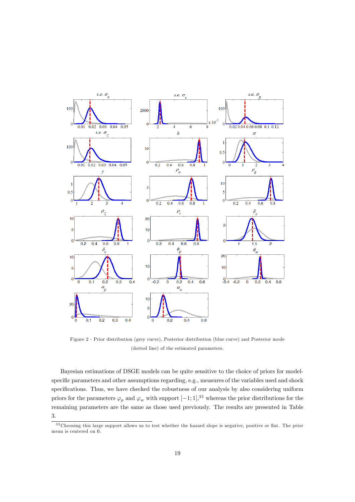

Figure 2 - Prior distribution (grey curve), Posterior distribution (blue curve) and Posterior mode (dotted line) of the estimated parameters.

Bayesian estimations of DSGE models can be quite sensitive to the choice of priors for modelspecific parameters and other assumptions regarding, e.g., measures of the variables used and shock specifications. Thus, we have checked the robustness of our analysis by also considering uniform priors for the parameters  $\varphi_p$  and  $\varphi_w$  with support  $[-1; 1]$ ,<sup>33</sup> whereas the prior distributions for the remaining parameters are the same as those used previously. The results are presented in Table 3.

<sup>&</sup>lt;sup>33</sup> Choosing this large support allows us to test whether the hazard slope is negative, positive or flat. The prior mean is centered on 0.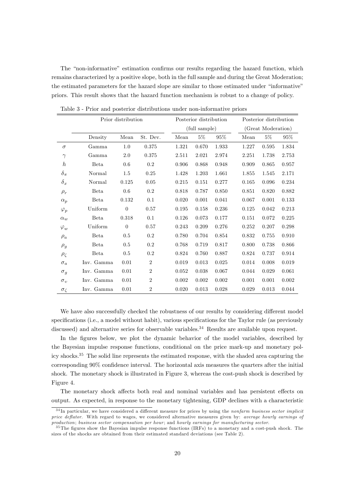The "non-informative" estimation confirms our results regarding the hazard function, which remains characterized by a positive slope, both in the full sample and during the Great Moderation; the estimated parameters for the hazard slope are similar to those estimated under "informative" priors. This result shows that the hazard function mechanism is robust to a change of policy.

|                  | Prior distribution |                |                |               | Posterior distribution |        |                    | Posterior distribution |        |  |  |
|------------------|--------------------|----------------|----------------|---------------|------------------------|--------|--------------------|------------------------|--------|--|--|
|                  |                    |                |                | (full sample) |                        |        | (Great Moderation) |                        |        |  |  |
|                  | Density            | Mean           | St. Dev.       | Mean          | $5\%$                  | $95\%$ | Mean               | $5\%$                  | $95\%$ |  |  |
| $\sigma$         | Gamma              | 1.0            | 0.375          | 1.321         | 0.670                  | 1.933  | 1.227              | 0.595                  | 1.834  |  |  |
| $\gamma$         | Gamma              | $2.0\,$        | 0.375          | 2.511         | 2.021                  | 2.974  | 2.251              | 1.738                  | 2.753  |  |  |
| $\boldsymbol{h}$ | Beta               | 0.6            | $0.2\,$        | 0.906         | 0.868                  | 0.948  | 0.909              | 0.865                  | 0.957  |  |  |
| $\delta_\pi$     | Normal             | $1.5\,$        | 0.25           | 1.428         | 1.203                  | 1.661  | 1.855              | 1.545                  | 2.171  |  |  |
| $\delta_x$       | Normal             | 0.125          | 0.05           | 0.215         | 0.151                  | 0.277  | 0.165              | 0.096                  | 0.234  |  |  |
| $\rho_r$         | Beta               | 0.6            | $0.2\,$        | 0.818         | 0.787                  | 0.850  | 0.851              | 0.820                  | 0.882  |  |  |
| $\alpha_p$       | Beta               | 0.132          | 0.1            | 0.020         | 0.001                  | 0.041  | 0.067              | 0.001                  | 0.133  |  |  |
| $\varphi_p$      | Uniform $\,$       | $\overline{0}$ | 0.57           | 0.195         | 0.158                  | 0.236  | 0.125              | 0.042                  | 0.213  |  |  |
| $\alpha_w$       | <b>Beta</b>        | 0.318          | 0.1            | 0.126         | 0.073                  | 0.177  | 0.151              | 0.072                  | 0.225  |  |  |
| $\varphi_w$      | Uniform            | $\theta$       | 0.57           | 0.243         | 0.209                  | 0.276  | 0.252              | 0.207                  | 0.298  |  |  |
| $\rho_a$         | <b>Beta</b>        | 0.5            | $0.2\,$        | 0.780         | 0.704                  | 0.854  | 0.832              | 0.755                  | 0.910  |  |  |
| $\rho_g$         | <b>Beta</b>        | 0.5            | $0.2\,$        | 0.768         | 0.719                  | 0.817  | 0.800              | 0.738                  | 0.866  |  |  |
| $\rho_\zeta$     | Beta               | 0.5            | $0.2\,$        | 0.824         | 0.760                  | 0.887  | 0.824              | 0.737                  | 0.914  |  |  |
| $\sigma_a$       | Inv. Gamma         | 0.01           | $\overline{2}$ | 0.019         | 0.013                  | 0.025  | 0.014              | 0.008                  | 0.019  |  |  |
| $\sigma_g$       | Inv. Gamma         | 0.01           | $\overline{2}$ | 0.052         | 0.038                  | 0.067  | 0.044              | 0.029                  | 0.061  |  |  |
| $\sigma_v$       | Inv. Gamma         | 0.01           | $\overline{2}$ | 0.002         | 0.002                  | 0.002  | 0.001              | 0.001                  | 0.002  |  |  |
| $\sigma_{\zeta}$ | Inv. Gamma         | 0.01           | $\overline{2}$ | 0.020         | 0.013                  | 0.028  | 0.029              | 0.013                  | 0.044  |  |  |

Table 3 - Prior and posterior distributions under non-informative priors

We have also successfully checked the robustness of our results by considering different model specifications (i.e., a model without habit), various specifications for the Taylor rule (as previously discussed) and alternative series for observable variables.<sup>34</sup> Results are available upon request.

In the figures below, we plot the dynamic behavior of the model variables, described by the Bayesian impulse response functions, conditional on the price mark-up and monetary policy shocks.<sup>35</sup> The solid line represents the estimated response, with the shaded area capturing the corresponding 90% confidence interval. The horizontal axis measures the quarters after the initial shock. The monetary shock is illustrated in Figure 3, whereas the cost-push shock is described by Figure 4.

The monetary shock affects both real and nominal variables and has persistent effects on output. As expected, in response to the monetary tightening, GDP declines with a characteristic

 $34$  In particular, we have considered a different measure for prices by using the nonfarm business sector implicit price deflator. With regard to wages, we considered alternative measures given by: average hourly earnings of production; business sector compensation per hour; and hourly earnings for manufacturing sector.

<sup>&</sup>lt;sup>35</sup> The figures show the Bayesian impulse response functions (IRFs) to a monetary and a cost-push shock. The sizes of the shocks are obtained from their estimated standard deviations (see Table 2).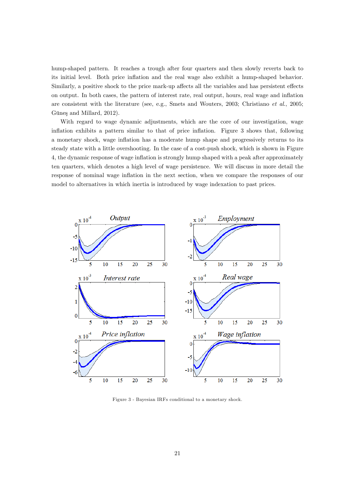hump-shaped pattern. It reaches a trough after four quarters and then slowly reverts back to its initial level. Both price inflation and the real wage also exhibit a hump-shaped behavior. Similarly, a positive shock to the price mark-up affects all the variables and has persistent effects on output. In both cases, the pattern of interest rate, real output, hours, real wage and ináation are consistent with the literature (see, e.g., Smets and Wouters, 2003; Christiano et al., 2005; Güneş and Millard, 2012).

With regard to wage dynamic adjustments, which are the core of our investigation, wage inflation exhibits a pattern similar to that of price inflation. Figure 3 shows that, following a monetary shock, wage ináation has a moderate hump shape and progressively returns to its steady state with a little overshooting. In the case of a cost-push shock, which is shown in Figure 4, the dynamic response of wage inflation is strongly hump shaped with a peak after approximately ten quarters, which denotes a high level of wage persistence. We will discuss in more detail the response of nominal wage inflation in the next section, when we compare the responses of our model to alternatives in which inertia is introduced by wage indexation to past prices.



Figure 3 - Bayesian IRFs conditional to a monetary shock.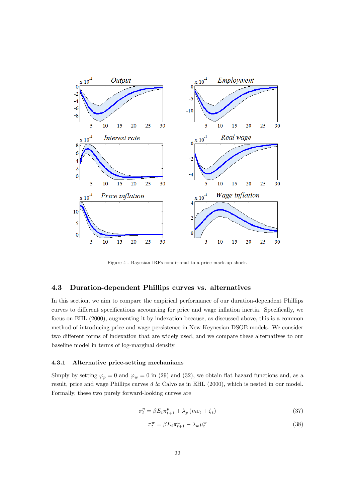

Figure 4 - Bayesian IRFs conditional to a price mark-up shock.

### 4.3 Duration-dependent Phillips curves vs. alternatives

In this section, we aim to compare the empirical performance of our duration-dependent Phillips curves to different specifications accounting for price and wage inflation inertia. Specifically, we focus on EHL (2000), augmenting it by indexation because, as discussed above, this is a common method of introducing price and wage persistence in New Keynesian DSGE models. We consider two different forms of indexation that are widely used, and we compare these alternatives to our baseline model in terms of log-marginal density.

#### 4.3.1 Alternative price-setting mechanisms

Simply by setting  $\varphi_p = 0$  and  $\varphi_w = 0$  in (29) and (32), we obtain flat hazard functions and, as a result, price and wage Phillips curves  $\acute{a}$  la Calvo as in EHL (2000), which is nested in our model. Formally, these two purely forward-looking curves are

$$
\pi_t^p = \beta E_t \pi_{t+1}^p + \lambda_p \left( mc_t + \zeta_t \right) \tag{37}
$$

$$
\pi_t^w = \beta E_t \pi_{t+1}^w - \lambda_w \mu_t^w \tag{38}
$$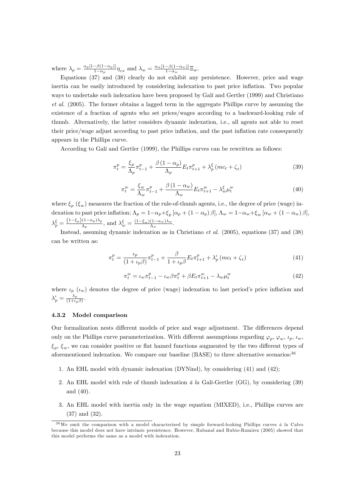where  $\lambda_p = \frac{\alpha_p [1 - \beta(1 - \alpha_p)]}{1 - \alpha_p}$  $\frac{-\beta(1-\alpha_p)]}{1-\alpha_p}\eta_{cx}$  and  $\lambda_w = \frac{\alpha_w[1-\beta(1-\alpha_w)]}{1-\alpha_w}$  $\frac{-\rho(1-\alpha_w)}{1-\alpha_w} \Xi_w.$ 

Equations (37) and (38) clearly do not exhibit any persistence. However, price and wage inertia can be easily introduced by considering indexation to past price inflation. Two popular ways to undertake such indexation have been proposed by Galí and Gertler (1999) and Christiano et al. (2005). The former obtains a lagged term in the aggregate Phillips curve by assuming the existence of a fraction of agents who set prices/wages according to a backward-looking rule of thumb. Alternatively, the latter considers dynamic indexation, i.e., all agents not able to reset their price/wage adjust according to past price inflation, and the past inflation rate consequently appears in the Phillips curve.

According to Galí and Gertler (1999), the Phillips curves can be rewritten as follows:

$$
\pi_t^p = \frac{\xi_p}{\Lambda_p} \pi_{t-1}^p + \frac{\beta (1 - \alpha_p)}{\Lambda_p} E_t \pi_{t+1}^p + \lambda_p^\xi \left( mc_t + \zeta_t \right) \tag{39}
$$

$$
\pi_v^w = \frac{\xi_w}{\Lambda_w} \pi_{t-1}^p + \frac{\beta (1 - \alpha_w)}{\Lambda_w} E_t \pi_{t+1}^w - \lambda_w^{\xi} \mu_t^w \tag{40}
$$

where  $\xi_p$  ( $\xi_w$ ) measures the fraction of the rule-of-thumb agents, i.e., the degree of price (wage) indexation to past price inflation;  $\Lambda_p = 1 - \alpha_p + \xi_p [\alpha_p + (1 - \alpha_p)\beta], \Lambda_w = 1 - \alpha_w + \xi_w [\alpha_w + (1 - \alpha_w)\beta],$  $\lambda_p^{\xi} = \frac{(1-\xi_p)(1-\alpha_p)\lambda_p}{\Lambda_p}, \text{ and } \lambda_w^{\xi} = \frac{(1-\xi_w)(1-\alpha_w)\lambda_w}{\Lambda_w}.$ 

Instead, assuming dynamic indexation as in Christiano et al. (2005), equations (37) and (38) can be written as:

$$
\pi_t^p = \frac{\iota_p}{(1 + \iota_p \beta)} \pi_{t-1}^p + \frac{\beta}{1 + \iota_p \beta} E_t \pi_{t+1}^p + \lambda_p^{\iota} (m c_t + \zeta_t)
$$
\n(41)

$$
\pi_t^w = \iota_w \pi_{t-1}^p - \iota_w \beta \pi_t^p + \beta E_t \pi_{t+1}^w - \lambda_w \mu_t^w \tag{42}
$$

where  $\iota_p$  ( $\iota_w$ ) denotes the degree of price (wage) indexation to last period's price inflation and  $\lambda_p^{\iota} = \frac{\lambda_p}{(1+\iota_p)}$  $\frac{\Lambda_p}{(1+\iota_p\beta)}$ .

#### 4.3.2 Model comparison

Our formalization nests different models of price and wage adjustment. The differences depend only on the Phillips curve parameterization. With different assumptions regarding  $\varphi_p$ ,  $\varphi_w$ ,  $\iota_p$ ,  $\iota_w$ ,  $\xi_p, \xi_w$ , we can consider positive or flat hazard functions augmented by the two different types of aforementioned indexation. We compare our baseline (BASE) to three alternative scenarios:<sup>36</sup>

- 1. An EHL model with dynamic indexation (DYNind), by considering (41) and (42);
- 2. An EHL model with rule of thumb indexation  $\acute{a}$  la Gali-Gertler (GG), by considering (39) and (40).
- 3. An EHL model with inertia only in the wage equation (MIXED), i.e., Phillips curves are (37) and (32).

 $36\,\text{We omit the comparison with a model characterized by simple forward-looking Phillips curves } \hat{a} \, l\hat{a}$  Calvo because this model does not have intrinsic persistence. However, Rabanal and Rubio-Ramirez (2005) showed that this model performs the same as a model with indexation.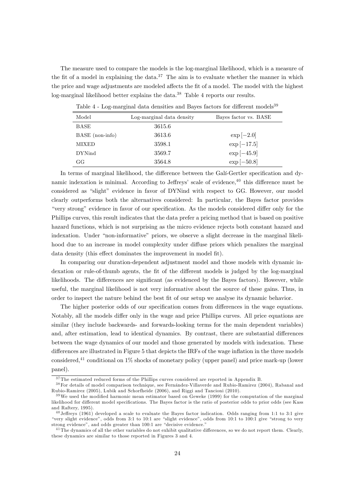The measure used to compare the models is the log-marginal likelihood, which is a measure of the fit of a model in explaining the data.<sup>37</sup> The aim is to evaluate whether the manner in which the price and wage adjustments are modeled affects the fit of a model. The model with the highest log-marginal likelihood better explains the data.<sup>38</sup> Table 4 reports our results.

| Model           | Log-marginal data density | Bayes factor vs. BASE |
|-----------------|---------------------------|-----------------------|
| BASE            | 3615.6                    |                       |
| BASE (non-info) | 3613.6                    | $\exp[-2.0]$          |
| <b>MIXED</b>    | 3598.1                    | $\exp[-17.5]$         |
| <b>DYNind</b>   | 3569.7                    | $\exp[-45.9]$         |
| GG              | 3564.8                    | $\exp[-50.8]$         |

Table  $4$  - Log-marginal data densities and Bayes factors for different models<sup>39</sup>

In terms of marginal likelihood, the difference between the Gali-Gertler specification and dynamic indexation is minimal. According to Jeffreys' scale of evidence, $40$  this difference must be considered as "slight" evidence in favor of DYNind with respect to GG. However, our model clearly outperforms both the alternatives considered: In particular, the Bayes factor provides "very strong" evidence in favor of our specification. As the models considered differ only for the Phillips curves, this result indicates that the data prefer a pricing method that is based on positive hazard functions, which is not surprising as the micro evidence rejects both constant hazard and indexation. Under "non-informative" priors, we observe a slight decrease in the marginal likelihood due to an increase in model complexity under diffuse priors which penalizes the marginal data density (this effect dominates the improvement in model fit).

In comparing our duration-dependent adjustment model and those models with dynamic indexation or rule-of-thumb agents, the fit of the different models is judged by the log-marginal likelihoods. The differences are significant (as evidenced by the Bayes factors). However, while useful, the marginal likelihood is not very informative about the source of these gains. Thus, in order to inspect the nature behind the best Öt of our setup we analyse its dynamic behavior.

The higher posterior odds of our specification comes from differences in the wage equations. Notably, all the models differ only in the wage and price Phillips curves. All price equations are similar (they include backwards- and forwards-looking terms for the main dependent variables) and, after estimation, lead to identical dynamics. By contrast, there are substantial differences between the wage dynamics of our model and those generated by models with indexation. These differences are illustrated in Figure 5 that depicts the IRFs of the wage inflation in the three models considered,<sup>41</sup> conditional on 1% shocks of monetary policy (upper panel) and price mark-up (lower panel).

<sup>&</sup>lt;sup>37</sup> The estimated reduced forms of the Phillips curves considered are reported in Appendix B.

<sup>&</sup>lt;sup>38</sup> For details of model comparison technique, see Fernández-Villaverde and Rubio-Ramirez (2004), Rabanal and Rubio-Ramirez (2005), Lubik and Schorfheide (2006), and Riggi and Tancioni (2010).

 $39\,\text{We used the modified harmonic mean estimator based on Geweke (1999) for the computation of the marginal distribution.}$ likelihood for different model specifications. The Bayes factor is the ratio of posterior odds to prior odds (see Kass and Raftery, 1995).

 $^{40}$  Jeffreys (1961) developed a scale to evaluate the Bayes factor indication. Odds ranging from 1:1 to 3:1 give "very slight evidence", odds from 3:1 to 10:1 are "slight evidence", odds from 10:1 to 100:1 give "strong to very strong evidence", and odds greater than 100:1 are "decisive evidence."

 $^{41}$ The dynamics of all the other variables do not exhibit qualitative differences, so we do not report them. Clearly, these dynamics are similar to those reported in Figures 3 and 4.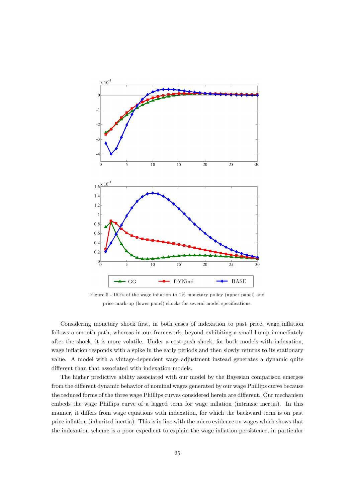

Figure 5 - IRFs of the wage inflation to 1% monetary policy (upper panel) and price mark-up (lower panel) shocks for several model specifications.

Considering monetary shock first, in both cases of indexation to past price, wage inflation follows a smooth path, whereas in our framework, beyond exhibiting a small hump immediately after the shock, it is more volatile. Under a cost-push shock, for both models with indexation, wage inflation responds with a spike in the early periods and then slowly returns to its stationary value. A model with a vintage-dependent wage adjustment instead generates a dynamic quite different than that associated with indexation models.

The higher predictive ability associated with our model by the Bayesian comparison emerges from the different dynamic behavior of nominal wages generated by our wage Phillips curve because the reduced forms of the three wage Phillips curves considered herein are different. Our mechanism embeds the wage Phillips curve of a lagged term for wage inflation (intrinsic inertia). In this manner, it differs from wage equations with indexation, for which the backward term is on past price ináation (inherited inertia). This is in line with the micro evidence on wages which shows that the indexation scheme is a poor expedient to explain the wage ináation persistence, in particular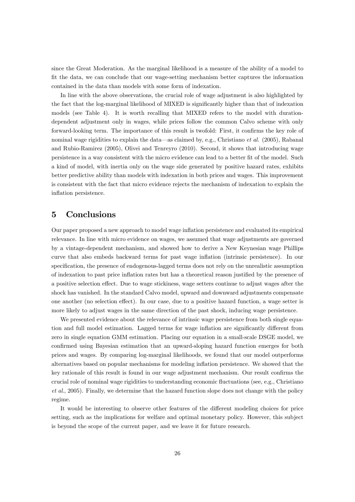since the Great Moderation. As the marginal likelihood is a measure of the ability of a model to Öt the data, we can conclude that our wage-setting mechanism better captures the information contained in the data than models with some form of indexation.

In line with the above observations, the crucial role of wage adjustment is also highlighted by the fact that the log-marginal likelihood of MIXED is significantly higher than that of indexation models (see Table 4). It is worth recalling that MIXED refers to the model with durationdependent adjustment only in wages, while prices follow the common Calvo scheme with only forward-looking term. The importance of this result is twofold: First, it confirms the key role of nominal wage rigidities to explain the data—as claimed by, e.g., Christiano et al. (2005), Rabanal and Rubio-Ramirez (2005), Olivei and Tenreyro (2010). Second, it shows that introducing wage persistence in a way consistent with the micro evidence can lead to a better fit of the model. Such a kind of model, with inertia only on the wage side generated by positive hazard rates, exhibits better predictive ability than models with indexation in both prices and wages. This improvement is consistent with the fact that micro evidence rejects the mechanism of indexation to explain the inflation persistence.

## 5 Conclusions

Our paper proposed a new approach to model wage ináation persistence and evaluated its empirical relevance. In line with micro evidence on wages, we assumed that wage adjustments are governed by a vintage-dependent mechanism, and showed how to derive a New Keynesian wage Phillips curve that also embeds backward terms for past wage inflation (intrinsic persistence). In our specification, the presence of endogenous-lagged terms does not rely on the unrealistic assumption of indexation to past price inflation rates but has a theoretical reason justified by the presence of a positive selection effect. Due to wage stickiness, wage setters continue to adjust wages after the shock has vanished. In the standard Calvo model, upward and downward adjustments compensate one another (no selection effect). In our case, due to a positive hazard function, a wage setter is more likely to adjust wages in the same direction of the past shock, inducing wage persistence.

We presented evidence about the relevance of intrinsic wage persistence from both single equation and full model estimation. Lagged terms for wage inflation are significantly different from zero in single equation GMM estimation. Placing our equation in a small-scale DSGE model, we confirmed using Bayesian estimation that an upward-sloping hazard function emerges for both prices and wages. By comparing log-marginal likelihoods, we found that our model outperforms alternatives based on popular mechanisms for modeling ináation persistence. We showed that the key rationale of this result is found in our wage adjustment mechanism. Our result confirms the crucial role of nominal wage rigidities to understanding economic fluctuations (see, e.g., Christiano et al., 2005). Finally, we determine that the hazard function slope does not change with the policy regime.

It would be interesting to observe other features of the different modeling choices for price setting, such as the implications for welfare and optimal monetary policy. However, this subject is beyond the scope of the current paper, and we leave it for future research.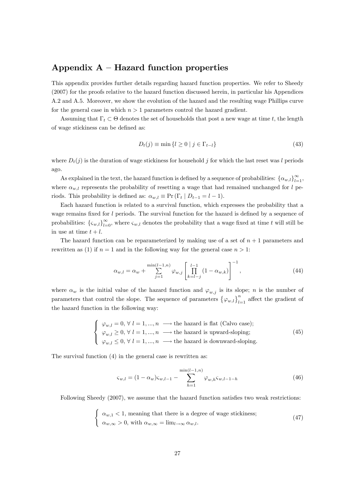## Appendix  $A$  – Hazard function properties

This appendix provides further details regarding hazard function properties. We refer to Sheedy (2007) for the proofs relative to the hazard function discussed herein, in particular his Appendices A.2 and A.5. Moreover, we show the evolution of the hazard and the resulting wage Phillips curve for the general case in which  $n > 1$  parameters control the hazard gradient.

Assuming that  $\Gamma_t \subset \Theta$  denotes the set of households that post a new wage at time t, the length of wage stickiness can be defined as:

$$
D_t(j) \equiv \min\left\{l \ge 0 \mid j \in \Gamma_{t-l}\right\} \tag{43}
$$

where  $D_t(j)$  is the duration of wage stickiness for household j for which the last reset was l periods ago.

As explained in the text, the hazard function is defined by a sequence of probabilities:  $\{\alpha_{w,l}\}_{l=1}^{\infty}$ , where  $\alpha_{w,l}$  represents the probability of resetting a wage that had remained unchanged for l periods. This probability is defined as:  $\alpha_{w,l} \equiv \Pr(\Gamma_t | D_{t-1} = l - 1).$ 

Each hazard function is related to a survival function, which expresses the probability that a wage remains fixed for  $l$  periods. The survival function for the hazard is defined by a sequence of probabilities:  $\{\zeta_{w,l}\}_{l=0}^{\infty}$ , where  $\zeta_{w,l}$  denotes the probability that a wage fixed at time t will still be in use at time  $t + l$ .

The hazard function can be reparameterized by making use of a set of  $n + 1$  parameters and rewritten as (1) if  $n = 1$  and in the following way for the general case  $n > 1$ :

$$
\alpha_{w,l} = \alpha_w + \sum_{j=1}^{\min(l-1,n)} \varphi_{w,j} \left[ \prod_{k=l-j}^{l-1} (1 - \alpha_{w,k}) \right]^{-1}, \tag{44}
$$

where  $\alpha_w$  is the initial value of the hazard function and  $\varphi_{w,j}$  is its slope; n is the number of parameters that control the slope. The sequence of parameters  ${\varphi_{w,l}}_{l=1}^n$  affect the gradient of the hazard function in the following way:

$$
\begin{cases}\n\varphi_{w,l} = 0, \forall l = 1, ..., n \longrightarrow \text{the hazard is flat (Calvo case)}; \\
\varphi_{w,l} \geq 0, \forall l = 1, ..., n \longrightarrow \text{the hazard is upward-sloping}; \\
\varphi_{w,l} \leq 0, \forall l = 1, ..., n \longrightarrow \text{the hazard is downward-sloping}.\n\end{cases}
$$
\n(45)

The survival function (4) in the general case is rewritten as:

$$
\varsigma_{w,l} = (1 - \alpha_w)\varsigma_{w,l-1} - \sum_{h=1}^{\min(l-1,n)} \varphi_{w,h}\varsigma_{w,l-1-h}
$$
\n(46)

Following Sheedy  $(2007)$ , we assume that the hazard function satisfies two weak restrictions:

$$
\begin{cases} \alpha_{w,1} < 1, \text{ meaning that there is a degree of wage stickiness;} \\ \alpha_{w,\infty} > 0, \text{ with } \alpha_{w,\infty} = \lim_{l \to \infty} \alpha_{w,l}. \end{cases} \tag{47}
$$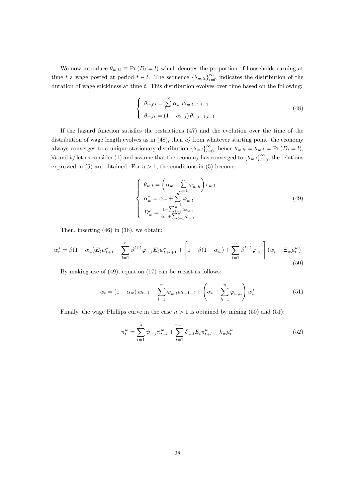We now introduce  $\theta_{w,lt} \equiv \Pr(D_t = l)$  which denotes the proportion of households earning at time t a wage posted at period  $t - l$ . The sequence  $\{\theta_{w,lt}\}_{l=0}^{\infty}$  indicates the distribution of the duration of wage stickiness at time  $t$ . This distribution evolves over time based on the following:

$$
\begin{cases}\n\theta_{w,0t} = \sum_{l=1}^{\infty} \alpha_{w,l} \theta_{w,l-1,t-1} \\
\theta_{w,lt} = (1 - \alpha_{w,l}) \theta_{w,l-1,t-1}\n\end{cases}
$$
\n(48)

If the hazard function satisfies the restrictions  $(47)$  and the evolution over the time of the distribution of wage length evolves as in  $(48)$ , then  $a$ ) from whatever starting point, the economy always converges to a unique stationary distribution  $\{\theta_{w,l}\}_{l=0}^{\infty}$ ; hence  $\theta_{w,lt} = \theta_{w,l} = \Pr(D_t = l)$ ,  $\forall t$  and b) let us consider (1) and assume that the economy has converged to  $\{\theta_{w,l}\}_{l=0}^{\infty}$ ; the relations expressed in (5) are obtained. For  $n > 1$ , the conditions in (5) become:

$$
\begin{cases}\n\theta_{w,l} = \left(\alpha_w + \sum_{h=1}^n \varphi_{w,h}\right) \zeta_{w,l} \\
\alpha_w^e = \alpha_w + \sum_{l=1}^n \varphi_{w,l} \\
D_w^e = \frac{1 - \sum_{l=1}^{l=1} l \varphi_{w,l}}{\alpha_w + \sum_{l=1}^n \varphi_{w,l}}\n\end{cases} \tag{49}
$$

Then, inserting (46) in (16), we obtain:

$$
w_t^* = \beta (1 - \alpha_w) E_t w_{t+1}^* - \sum_{l=1}^n \beta^{l+1} \varphi_{w,l} E_t w_{t+l+1}^* + \left[ 1 - \beta (1 - \alpha_w) + \sum_{l=1}^n \beta^{l+1} \varphi_{w,l} \right] (w_t - \Xi_w \mu_t^w)
$$
\n(50)

By making use of (49), equation (17) can be recast as follows:

$$
w_t = (1 - \alpha_w) w_{t-1} - \sum_{l=1}^n \varphi_{w,l} w_{t-1-l} + \left(\alpha_w + \sum_{h=1}^n \varphi_{w,h}\right) w_t^*
$$
(51)

Finally, the wage Phillips curve in the case  $n > 1$  is obtained by mixing (50) and (51):

$$
\pi_t^w = \sum_{l=1}^n \psi_{w,l} \pi_{t-l}^w + \sum_{l=1}^{n+1} \delta_{w,l} E_t \pi_{t+l}^w - k_w \mu_t^w \tag{52}
$$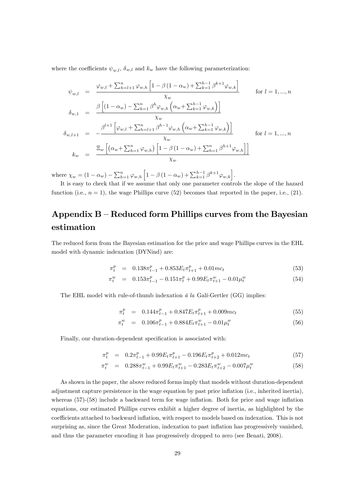where the coefficients  $\psi_{m,l}$ ,  $\delta_{w,l}$  and  $k_w$  have the following parameterization:

$$
\psi_{w,l} = \frac{\varphi_{w,l} + \sum_{h=l+1}^{n} \varphi_{w,h} \left[ 1 - \beta (1 - \alpha_w) + \sum_{k=1}^{h-1} \beta^{k+1} \varphi_{w,k} \right]}{\chi_w} \quad \text{for } l = 1, ..., n
$$
\n
$$
\delta_{w,1} = \frac{\beta \left[ (1 - \alpha_w) - \sum_{h=1}^{n} \beta^h \varphi_{w,h} \left( \alpha_w + \sum_{k=1}^{h-1} \varphi_{w,k} \right) \right]}{\chi_w}
$$
\n
$$
\delta_{w,l+1} = -\frac{\beta^{l+1} \left[ \varphi_{w,l} + \sum_{h=l+1}^{n} \beta^{h-1} \varphi_{w,h} \left( \alpha_w + \sum_{k=1}^{h-1} \varphi_{w,k} \right) \right]}{\chi_w} \quad \text{for } l = 1, ..., n
$$
\n
$$
k_w = \frac{\Xi_w \left[ (\alpha_w + \sum_{h=1}^{n} \varphi_{w,h}) \left[ 1 - \beta (1 - \alpha_w) + \sum_{h=1}^{n} \beta^{h+1} \varphi_{w,h} \right] \right]}{\chi_w}
$$

where  $\chi_w = (1 - \alpha_w) - \sum_{h=1}^n \varphi_{w,h} \left[ 1 - \beta (1 - \alpha_w) + \sum_{k=1}^{h-1} \beta^{k+1} \varphi_{w,k} \right]$ .

It is easy to check that if we assume that only one parameter controls the slope of the hazard function (i.e.,  $n = 1$ ), the wage Phillips curve (52) becomes that reported in the paper, i.e., (21).

## Appendix  $B -$  Reduced form Phillips curves from the Bayesian estimation

The reduced form from the Bayesian estimation for the price and wage Phillips curves in the EHL model with dynamic indexation (DYNind) are:

$$
\pi_t^p = 0.138\pi_{t-1}^p + 0.853E_t\pi_{t+1}^p + 0.01mc_t \tag{53}
$$

$$
\pi_t^w = 0.153\pi_{t-1}^p - 0.151\pi_t^p + 0.99E_t\pi_{t+1}^w - 0.01\mu_t^w \tag{54}
$$

The EHL model with rule-of-thumb indexation  $\acute{a}$  la Gali-Gertler (GG) implies:

$$
\pi_t^p = 0.144\pi_{t-1}^p + 0.847E_t\pi_{t+1}^p + 0.009mc_t \tag{55}
$$

$$
\pi_t^w = 0.106 \pi_{t-1}^p + 0.884 E_t \pi_{t+1}^w - 0.01 \mu_t^w \tag{56}
$$

Finally, our duration-dependent specification is associated with:

$$
\pi_t^p = 0.2\pi_{t-1}^p + 0.99E_t\pi_{t+1}^p - 0.196E_t\pi_{t+2}^p + 0.012mc_t \tag{57}
$$

$$
\pi_t^w = 0.288\pi_{t-1}^w + 0.99E_t\pi_{t+1}^w - 0.283E_t\pi_{t+2}^w - 0.007\mu_t^w \tag{58}
$$

As shown in the paper, the above reduced forms imply that models without duration-dependent adjustment capture persistence in the wage equation by past price inflation (i.e., inherited inertia), whereas  $(57)-(58)$  include a backward term for wage inflation. Both for price and wage inflation equations, our estimated Phillips curves exhibit a higher degree of inertia, as highlighted by the coefficients attached to backward inflation, with respect to models based on indexation. This is not surprising as, since the Great Moderation, indexation to past inflation has progressively vanished, and thus the parameter encoding it has progressively dropped to zero (see Benati, 2008).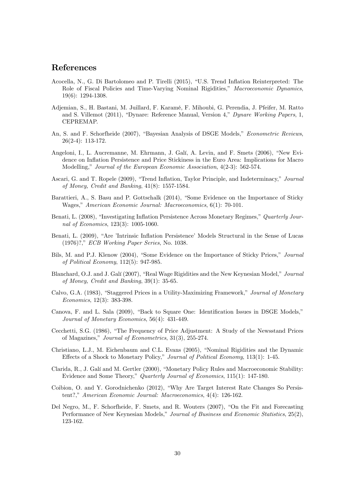### References

- Acocella, N., G. Di Bartolomeo and P. Tirelli (2015), "U.S. Trend Inflation Reinterpreted: The Role of Fiscal Policies and Time-Varying Nominal Rigidities," Macroeconomic Dynamics, 19(6): 1294-1308.
- Adjemian, S., H. Bastani, M. Juillard, F. Karamé, F. Mihoubi, G. Perendia, J. Pfeifer, M. Ratto and S. Villemot (2011), "Dynare: Reference Manual, Version 4," Dynare Working Papers, 1, CEPREMAP.
- An, S. and F. Schorfheide (2007), "Bayesian Analysis of DSGE Models," Econometric Reviews, 26(2-4): 113-172.
- Angeloni, I., L. Aucremanne, M. Ehrmann, J. Galí, A. Levin, and F. Smets (2006), "New Evidence on Inflation Persistence and Price Stickiness in the Euro Area: Implications for Macro Modelling," Journal of the European Economic Association, 4(2-3): 562-574.
- Ascari, G. and T. Ropele (2009), "Trend Inflation, Taylor Principle, and Indeterminacy," Journal of Money, Credit and Banking, 41(8): 1557-1584.
- Barattieri, A., S. Basu and P. Gottschalk (2014), "Some Evidence on the Importance of Sticky Wages," American Economic Journal: Macroeconomics, 6(1): 70-101.
- Benati, L. (2008), "Investigating Inflation Persistence Across Monetary Regimes," Quarterly Journal of Economics, 123(3): 1005-1060.
- Benati, L. (2009), "Are 'Intrinsic Inflation Persistence' Models Structural in the Sense of Lucas (1976)?," *ECB Working Paper Series*, No. 1038.
- Bils, M. and P.J. Klenow (2004), "Some Evidence on the Importance of Sticky Prices," Journal of Political Economy, 112(5): 947-985.
- Blanchard, O.J. and J. Galí (2007), "Real Wage Rigidities and the New Keynesian Model," Journal of Money, Credit and Banking, 39(1): 35-65.
- Calvo, G.A. (1983), "Staggered Prices in a Utility-Maximizing Framework," Journal of Monetary Economics, 12(3): 383-398.
- Canova, F. and L. Sala (2009), "Back to Square One: Identification Issues in DSGE Models," Journal of Monetary Economics, 56(4): 431-449.
- Cecchetti, S.G. (1986), "The Frequency of Price Adjustment: A Study of the Newsstand Prices of Magazines," Journal of Econometrics, 31(3), 255-274.
- Christiano, L.J., M. Eichenbaum and C.L. Evans (2005), "Nominal Rigidities and the Dynamic Effects of a Shock to Monetary Policy," Journal of Political Economy, 113(1): 1-45.
- Clarida, R., J. Galí and M. Gertler (2000), "Monetary Policy Rules and Macroeconomic Stability: Evidence and Some Theory," Quarterly Journal of Economics, 115(1): 147-180.
- Coibion, O. and Y. Gorodnichenko (2012), "Why Are Target Interest Rate Changes So Persistent?," American Economic Journal: Macroeconomics, 4(4): 126-162.
- Del Negro, M., F. Schorfheide, F. Smets, and R. Wouters (2007), "On the Fit and Forecasting Performance of New Keynesian Models," Journal of Business and Economic Statistics, 25(2), 123-162.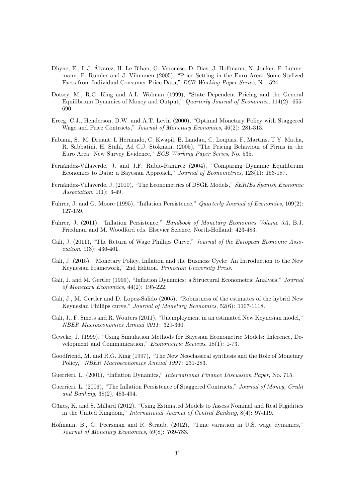- Dhyne, E., L.J. Álvarez, H. Le Bihan, G. Veronese, D. Dias, J. Hoffmann, N. Jonker, P. Lünnemann, F. Rumler and J. Vilmunen (2005), "Price Setting in the Euro Area: Some Stylized Facts from Individual Consumer Price Data," ECB Working Paper Series, No. 524.
- Dotsey, M., R.G. King and A.L. Wolman (1999), "State Dependent Pricing and the General Equilibrium Dynamics of Money and Output," Quarterly Journal of Economics,  $114(2)$ : 655-690.
- Erceg, C.J., Henderson, D.W. and A.T. Levin (2000), "Optimal Monetary Policy with Staggered Wage and Price Contracts," Journal of Monetary Economics, 46(2): 281-313.
- Fabiani, S., M. Druant, I. Hernando, C. Kwapil, B. Landau, C. Loupias, F. Martins, T.Y. Matha, R. Sabbatini, H. Stahl, Ad C.J. Stokman, (2005), "The Pricing Behaviour of Firms in the Euro Area: New Survey Evidence," ECB Working Paper Series, No. 535.
- Fernández-Villaverde, J. and J.F. Rubio-Ramirez (2004), "Comparing Dynamic Equilibrium Economies to Data: a Bayesian Approach," Journal of Econometrics, 123(1): 153-187.
- Fernández-Villaverde, J. (2010), "The Econometrics of DSGE Models," SERIEs Spanish Economic Association, 1(1): 3-49.
- Fuhrer, J. and G. Moore (1995), "Inflation Persistence," Quarterly Journal of Economics,  $109(2)$ : 127-159.
- Fuhrer, J. (2011), "Inflation Persistence," Handbook of Monetary Economics Volume 3A, B.J. Friedman and M. Woodford eds. Elsevier Science, North-Holland: 423-483.
- Galí, J. (2011), "The Return of Wage Phillips Curve," Journal of the European Economic Association, 9(3): 436-461.
- Galí, J. (2015), "Monetary Policy, Inflation and the Business Cycle: An Introduction to the New Keynesian Framework," 2nd Edition, Princeton University Press.
- Galí, J. and M. Gertler (1999), "Inflation Dynamics: a Structural Econometric Analysis," Journal of Monetary Economics, 44(2): 195-222.
- Galí, J., M. Gertler and D. Lopez-Salido (2005), "Robustness of the estimates of the hybrid New Keynesian Phillips curve," Journal of Monetary Economics, 52(6): 1107-1118.
- Galí, J., F. Smets and R. Wouters (2011), "Unemployment in an estimated New Keynesian model." NBER Macroeconomics Annual 2011 : 329-360.
- Geweke, J. (1999), "Using Simulation Methods for Bayesian Econometric Models: Inference, Development and Communication,"  $Econometric$  Reviews, 18(1): 1-73.
- Goodfriend, M. and R.G. King (1997), "The New Neoclassical synthesis and the Role of Monetary Policy," NBER Macroeconomics Annual 1997: 231-283.
- Guerrieri, L. (2001), "Inflation Dynamics," *International Finance Discussion Paper*, No. 715.
- Guerrieri, L. (2006), "The Inflation Persistence of Staggered Contracts," Journal of Money, Credit and Banking, 38(2), 483-494.
- Güneş, K. and S. Millard (2012), "Using Estimated Models to Assess Nominal and Real Rigidities in the United Kingdom," International Journal of Central Banking, 8(4): 97-119.
- Hofmann, B., G. Peersman and R. Straub, (2012), "Time variation in U.S. wage dynamics," Journal of Monetary Economics, 59(8): 769-783.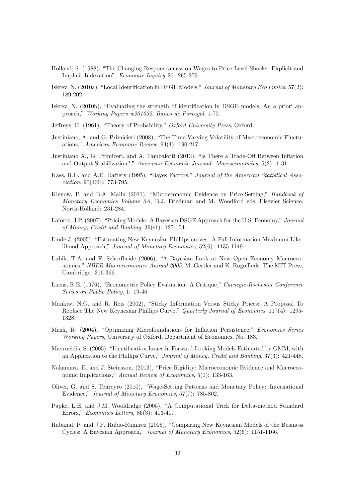- Holland, S. (1988), "The Changing Responsiveness on Wages to Price-Level Shocks: Explicit and Implicit Indexationî, Economic Inquiry 26: 265-279.
- Iskrev, N. (2010a), "Local Identification in DSGE Models," Journal of Monetary Economics, 57(2): 189-202.
- Iskrev, N.  $(2010b)$ , "Evaluating the strength of identification in DSGE models. An a priori approach," Working Papers w201032, Banco de Portugal, 1-70.
- Jeffreys, H. (1961), "Theory of Probability," Oxford University Press, Oxford.
- Justiniano, A. and G. Primicieri (2008), "The Time-Varying Volatility of Macroeconomic Fluctuations," American Economic Review, 94(1): 190-217.
- Justiniano A., G. Primiceri, and A. Tambalotti (2013), "Is There a Trade-Off Between Inflation and Output Stabilization?," American Economic Journal: Macroeconomics, 5(2): 1-31.
- Kass, R.E. and A.E. Raftery (1995), "Bayes Factors," Journal of the American Statistical Association, 90(430): 773-795.
- Klenow, P. and B.A. Malin (2011), "Microeconomic Evidence on Price-Setting," Handbook of Monetary Economics Volume 3A, B.J. Friedman and M. Woodford eds. Elsevier Science, North-Holland: 231-284.
- Laforte, J.P. (2007), "Pricing Models: A Bayesian DSGE Approach for the U.S. Economy," Journal of Money, Credit and Banking, 39(s1): 127-154.
- Lindé J. (2005), "Estimating New-Keynesian Phillips curves: A Full Information Maximum Likelihood Approach," Journal of Monetary Economics, 52(6): 1135-1149.
- Lubik, T.A. and F. Schorfheide (2006), "A Bayesian Look at New Open Economy Macroeconomics," NBER Macroeconomics Annual 2005, M. Gertler and K. Rogoff eds. The MIT Press, Cambridge: 316-366.
- Lucas, R.E. (1976), "Econometric Policy Evaluation: A Critique," Carnegie-Rochester Conference Series on Public Policy, 1: 19-46.
- Mankiw, N.G. and R. Reis (2002), "Sticky Information Versus Sticky Prices: A Proposal To Replace The New Keynesian Phillips Curve," Quarterly Journal of Economics, 117(4): 1295-1328.
- Mash, R. (2004), "Optimizing Microfoundations for Inflation Persistence," Economics Series Working Papers, University of Oxford, Department of Economics, No. 183.
- Mavroeidis, S. (2005), "Identification Issues in Forward-Looking Models Estimated by GMM, with an Application to the Phillips Curve," Journal of Money, Credit and Banking, 37(3): 421-448.
- Nakamura, E. and J. Steinsson, (2013), "Price Rigidity: Microeconomic Evidence and Macroeconomic Implications," Annual Review of Economics, 5(1): 133-163.
- Olivei, G. and S. Tenreyro (2010), "Wage-Setting Patterns and Monetary Policy: International Evidence," Journal of Monetary Economics, 57(7): 785-802.
- Papke, L.E. and J.M. Wooldridge (2005), "A Computational Trick for Delta-method Standard Errors," Economics Letters, 86(3): 413-417.
- Rabanal, P. and J.F. Rubio-Ramirez (2005), "Comparing New Keynesian Models of the Business Cycles: A Bayesian Approach," Journal of Monetary Economics, 52(6): 1151-1166.